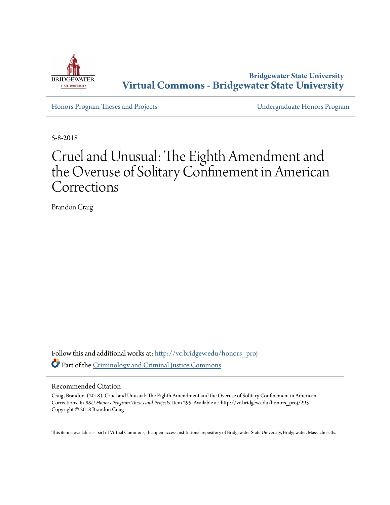

**Bridgewater State University [Virtual Commons - Bridgewater State University](http://vc.bridgew.edu?utm_source=vc.bridgew.edu%2Fhonors_proj%2F295&utm_medium=PDF&utm_campaign=PDFCoverPages)**

[Honors Program Theses and Projects](http://vc.bridgew.edu/honors_proj?utm_source=vc.bridgew.edu%2Fhonors_proj%2F295&utm_medium=PDF&utm_campaign=PDFCoverPages) [Undergraduate Honors Program](http://vc.bridgew.edu/honors?utm_source=vc.bridgew.edu%2Fhonors_proj%2F295&utm_medium=PDF&utm_campaign=PDFCoverPages)

5-8-2018

# Cruel and Unusual: The Eighth Amendment and the Overuse of Solitary Confinement in American Corrections

Brandon Craig

Follow this and additional works at: [http://vc.bridgew.edu/honors\\_proj](http://vc.bridgew.edu/honors_proj?utm_source=vc.bridgew.edu%2Fhonors_proj%2F295&utm_medium=PDF&utm_campaign=PDFCoverPages) Part of the [Criminology and Criminal Justice Commons](http://network.bepress.com/hgg/discipline/367?utm_source=vc.bridgew.edu%2Fhonors_proj%2F295&utm_medium=PDF&utm_campaign=PDFCoverPages)

#### Recommended Citation

Craig, Brandon. (2018). Cruel and Unusual: The Eighth Amendment and the Overuse of Solitary Confinement in American Corrections. In *BSU Honors Program Theses and Projects.* Item 295. Available at: http://vc.bridgew.edu/honors\_proj/295 Copyright © 2018 Brandon Craig

This item is available as part of Virtual Commons, the open-access institutional repository of Bridgewater State University, Bridgewater, Massachusetts.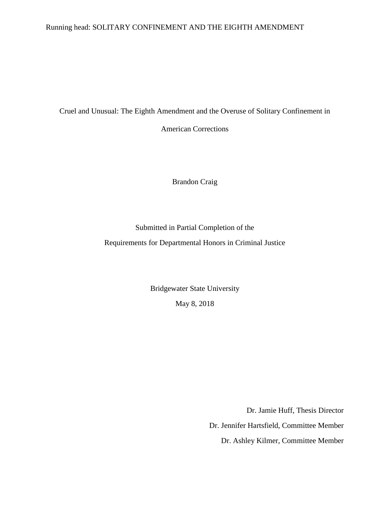## Running head: SOLITARY CONFINEMENT AND THE EIGHTH AMENDMENT

Cruel and Unusual: The Eighth Amendment and the Overuse of Solitary Confinement in

American Corrections

Brandon Craig

### Submitted in Partial Completion of the

Requirements for Departmental Honors in Criminal Justice

Bridgewater State University May 8, 2018

Dr. Jamie Huff, Thesis Director

Dr. Jennifer Hartsfield, Committee Member

Dr. Ashley Kilmer, Committee Member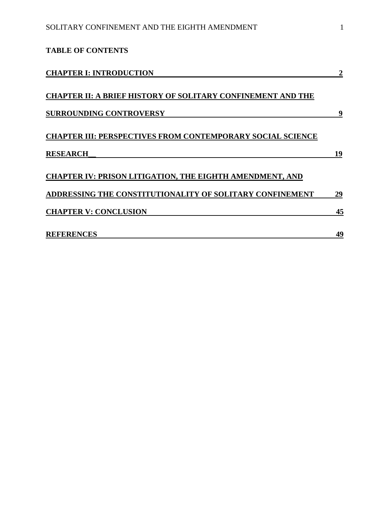| <b>TABLE OF CONTENTS</b>                                                                                                                                                                                                                                                                                                                                      |                              |    |
|---------------------------------------------------------------------------------------------------------------------------------------------------------------------------------------------------------------------------------------------------------------------------------------------------------------------------------------------------------------|------------------------------|----|
| <b>CHAPTER I: INTRODUCTION</b><br><b>CHAPTER II: A BRIEF HISTORY OF SOLITARY CONFINEMENT AND THE</b><br><b>SURROUNDING CONTROVERSY</b><br><b>CHAPTER III: PERSPECTIVES FROM CONTEMPORARY SOCIAL SCIENCE</b><br><b>RESEARCH</b><br><b>CHAPTER IV: PRISON LITIGATION, THE EIGHTH AMENDMENT, AND</b><br>ADDRESSING THE CONSTITUTIONALITY OF SOLITARY CONFINEMENT |                              |    |
|                                                                                                                                                                                                                                                                                                                                                               | 9                            |    |
|                                                                                                                                                                                                                                                                                                                                                               |                              | 19 |
|                                                                                                                                                                                                                                                                                                                                                               |                              | 29 |
|                                                                                                                                                                                                                                                                                                                                                               | <b>CHAPTER V: CONCLUSION</b> |    |
|                                                                                                                                                                                                                                                                                                                                                               | <b>REFERENCES</b>            | 49 |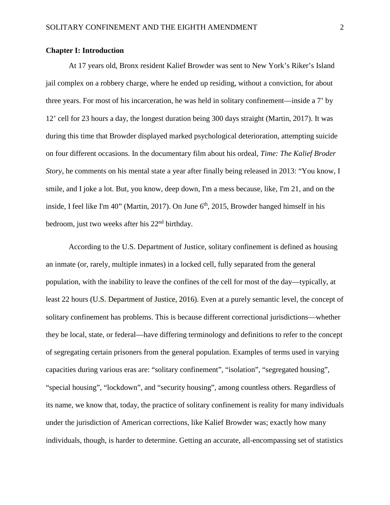#### **Chapter I: Introduction**

At 17 years old, Bronx resident Kalief Browder was sent to New York's Riker's Island jail complex on a robbery charge, where he ended up residing, without a conviction, for about three years. For most of his incarceration, he was held in solitary confinement—inside a 7' by 12' cell for 23 hours a day, the longest duration being 300 days straight (Martin, 2017). It was during this time that Browder displayed marked psychological deterioration, attempting suicide on four different occasions. In the documentary film about his ordeal, *Time: The Kalief Broder Story*, he comments on his mental state a year after finally being released in 2013: "You know, I smile, and I joke a lot. But, you know, deep down, I'm a mess because, like, I'm 21, and on the inside, I feel like I'm  $40$ " (Martin, 2017). On June  $6<sup>th</sup>$ , 2015, Browder hanged himself in his bedroom, just two weeks after his 22<sup>nd</sup> birthday.

According to the U.S. Department of Justice, solitary confinement is defined as housing an inmate (or, rarely, multiple inmates) in a locked cell, fully separated from the general population, with the inability to leave the confines of the cell for most of the day—typically, at least 22 hours (U.S. Department of Justice, 2016). Even at a purely semantic level, the concept of solitary confinement has problems. This is because different correctional jurisdictions—whether they be local, state, or federal—have differing terminology and definitions to refer to the concept of segregating certain prisoners from the general population. Examples of terms used in varying capacities during various eras are: "solitary confinement", "isolation", "segregated housing", "special housing", "lockdown", and "security housing", among countless others. Regardless of its name, we know that, today, the practice of solitary confinement is reality for many individuals under the jurisdiction of American corrections, like Kalief Browder was; exactly how many individuals, though, is harder to determine. Getting an accurate, all-encompassing set of statistics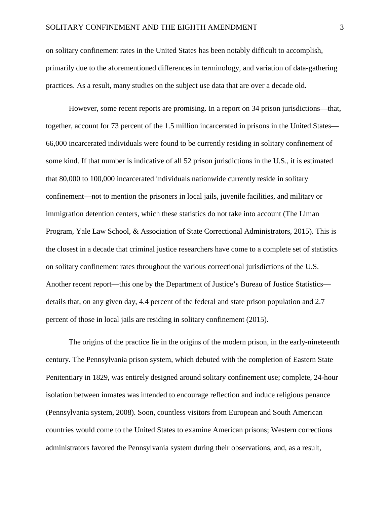on solitary confinement rates in the United States has been notably difficult to accomplish, primarily due to the aforementioned differences in terminology, and variation of data-gathering practices. As a result, many studies on the subject use data that are over a decade old.

However, some recent reports are promising. In a report on 34 prison jurisdictions—that, together, account for 73 percent of the 1.5 million incarcerated in prisons in the United States— 66,000 incarcerated individuals were found to be currently residing in solitary confinement of some kind. If that number is indicative of all 52 prison jurisdictions in the U.S., it is estimated that 80,000 to 100,000 incarcerated individuals nationwide currently reside in solitary confinement—not to mention the prisoners in local jails, juvenile facilities, and military or immigration detention centers, which these statistics do not take into account (The Liman Program, Yale Law School, & Association of State Correctional Administrators, 2015). This is the closest in a decade that criminal justice researchers have come to a complete set of statistics on solitary confinement rates throughout the various correctional jurisdictions of the U.S. Another recent report—this one by the Department of Justice's Bureau of Justice Statistics details that, on any given day, 4.4 percent of the federal and state prison population and 2.7 percent of those in local jails are residing in solitary confinement (2015).

The origins of the practice lie in the origins of the modern prison, in the early-nineteenth century. The Pennsylvania prison system, which debuted with the completion of Eastern State Penitentiary in 1829, was entirely designed around solitary confinement use; complete, 24-hour isolation between inmates was intended to encourage reflection and induce religious penance (Pennsylvania system, 2008). Soon, countless visitors from European and South American countries would come to the United States to examine American prisons; Western corrections administrators favored the Pennsylvania system during their observations, and, as a result,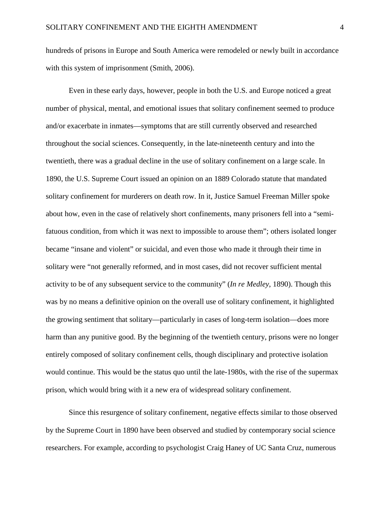hundreds of prisons in Europe and South America were remodeled or newly built in accordance with this system of imprisonment (Smith, 2006).

Even in these early days, however, people in both the U.S. and Europe noticed a great number of physical, mental, and emotional issues that solitary confinement seemed to produce and/or exacerbate in inmates—symptoms that are still currently observed and researched throughout the social sciences. Consequently, in the late-nineteenth century and into the twentieth, there was a gradual decline in the use of solitary confinement on a large scale. In 1890, the U.S. Supreme Court issued an opinion on an 1889 Colorado statute that mandated solitary confinement for murderers on death row. In it, Justice Samuel Freeman Miller spoke about how, even in the case of relatively short confinements, many prisoners fell into a "semifatuous condition, from which it was next to impossible to arouse them"; others isolated longer became "insane and violent" or suicidal, and even those who made it through their time in solitary were "not generally reformed, and in most cases, did not recover sufficient mental activity to be of any subsequent service to the community" (*In re Medley*, 1890). Though this was by no means a definitive opinion on the overall use of solitary confinement, it highlighted the growing sentiment that solitary—particularly in cases of long-term isolation—does more harm than any punitive good. By the beginning of the twentieth century, prisons were no longer entirely composed of solitary confinement cells, though disciplinary and protective isolation would continue. This would be the status quo until the late-1980s, with the rise of the supermax prison, which would bring with it a new era of widespread solitary confinement.

Since this resurgence of solitary confinement, negative effects similar to those observed by the Supreme Court in 1890 have been observed and studied by contemporary social science researchers. For example, according to psychologist Craig Haney of UC Santa Cruz, numerous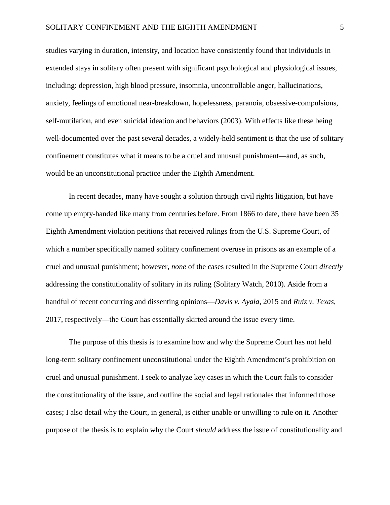studies varying in duration, intensity, and location have consistently found that individuals in extended stays in solitary often present with significant psychological and physiological issues, including: depression, high blood pressure, insomnia, uncontrollable anger, hallucinations, anxiety, feelings of emotional near-breakdown, hopelessness, paranoia, obsessive-compulsions, self-mutilation, and even suicidal ideation and behaviors (2003). With effects like these being well-documented over the past several decades, a widely-held sentiment is that the use of solitary confinement constitutes what it means to be a cruel and unusual punishment—and, as such, would be an unconstitutional practice under the Eighth Amendment.

In recent decades, many have sought a solution through civil rights litigation, but have come up empty-handed like many from centuries before. From 1866 to date, there have been 35 Eighth Amendment violation petitions that received rulings from the U.S. Supreme Court, of which a number specifically named solitary confinement overuse in prisons as an example of a cruel and unusual punishment; however, *none* of the cases resulted in the Supreme Court *directly* addressing the constitutionality of solitary in its ruling (Solitary Watch, 2010). Aside from a handful of recent concurring and dissenting opinions—*Davis v. Ayala*, 2015 and *Ruiz v. Texas*, 2017, respectively—the Court has essentially skirted around the issue every time.

The purpose of this thesis is to examine how and why the Supreme Court has not held long-term solitary confinement unconstitutional under the Eighth Amendment's prohibition on cruel and unusual punishment. I seek to analyze key cases in which the Court fails to consider the constitutionality of the issue, and outline the social and legal rationales that informed those cases; I also detail why the Court, in general, is either unable or unwilling to rule on it. Another purpose of the thesis is to explain why the Court *should* address the issue of constitutionality and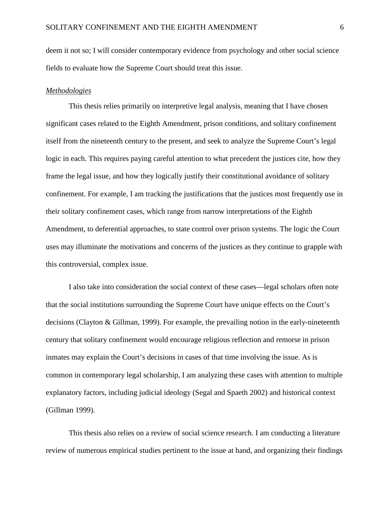deem it not so; I will consider contemporary evidence from psychology and other social science fields to evaluate how the Supreme Court should treat this issue.

#### *Methodologies*

This thesis relies primarily on interpretive legal analysis, meaning that I have chosen significant cases related to the Eighth Amendment, prison conditions, and solitary confinement itself from the nineteenth century to the present, and seek to analyze the Supreme Court's legal logic in each. This requires paying careful attention to what precedent the justices cite, how they frame the legal issue, and how they logically justify their constitutional avoidance of solitary confinement. For example, I am tracking the justifications that the justices most frequently use in their solitary confinement cases, which range from narrow interpretations of the Eighth Amendment, to deferential approaches, to state control over prison systems. The logic the Court uses may illuminate the motivations and concerns of the justices as they continue to grapple with this controversial, complex issue.

I also take into consideration the social context of these cases—legal scholars often note that the social institutions surrounding the Supreme Court have unique effects on the Court's decisions (Clayton & Gillman, 1999). For example, the prevailing notion in the early-nineteenth century that solitary confinement would encourage religious reflection and remorse in prison inmates may explain the Court's decisions in cases of that time involving the issue. As is common in contemporary legal scholarship, I am analyzing these cases with attention to multiple explanatory factors, including judicial ideology (Segal and Spaeth 2002) and historical context (Gillman 1999).

This thesis also relies on a review of social science research. I am conducting a literature review of numerous empirical studies pertinent to the issue at hand, and organizing their findings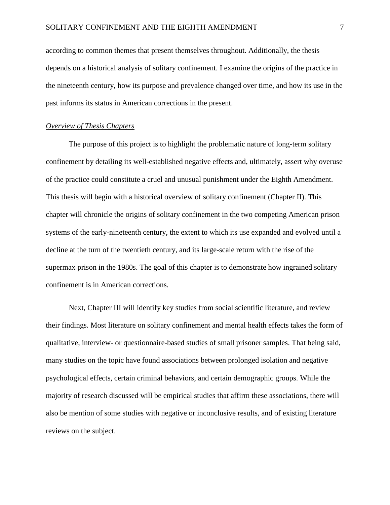according to common themes that present themselves throughout. Additionally, the thesis depends on a historical analysis of solitary confinement. I examine the origins of the practice in the nineteenth century, how its purpose and prevalence changed over time, and how its use in the past informs its status in American corrections in the present.

#### *Overview of Thesis Chapters*

The purpose of this project is to highlight the problematic nature of long-term solitary confinement by detailing its well-established negative effects and, ultimately, assert why overuse of the practice could constitute a cruel and unusual punishment under the Eighth Amendment. This thesis will begin with a historical overview of solitary confinement (Chapter II). This chapter will chronicle the origins of solitary confinement in the two competing American prison systems of the early-nineteenth century, the extent to which its use expanded and evolved until a decline at the turn of the twentieth century, and its large-scale return with the rise of the supermax prison in the 1980s. The goal of this chapter is to demonstrate how ingrained solitary confinement is in American corrections.

Next, Chapter III will identify key studies from social scientific literature, and review their findings. Most literature on solitary confinement and mental health effects takes the form of qualitative, interview- or questionnaire-based studies of small prisoner samples. That being said, many studies on the topic have found associations between prolonged isolation and negative psychological effects, certain criminal behaviors, and certain demographic groups. While the majority of research discussed will be empirical studies that affirm these associations, there will also be mention of some studies with negative or inconclusive results, and of existing literature reviews on the subject.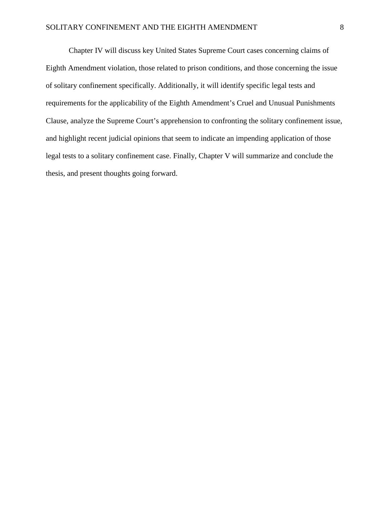Chapter IV will discuss key United States Supreme Court cases concerning claims of Eighth Amendment violation, those related to prison conditions, and those concerning the issue of solitary confinement specifically. Additionally, it will identify specific legal tests and requirements for the applicability of the Eighth Amendment's Cruel and Unusual Punishments Clause, analyze the Supreme Court's apprehension to confronting the solitary confinement issue, and highlight recent judicial opinions that seem to indicate an impending application of those legal tests to a solitary confinement case. Finally, Chapter V will summarize and conclude the thesis, and present thoughts going forward.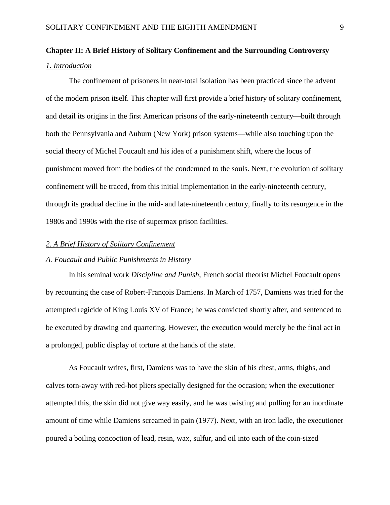## **Chapter II: A Brief History of Solitary Confinement and the Surrounding Controversy** *1. Introduction*

The confinement of prisoners in near-total isolation has been practiced since the advent of the modern prison itself. This chapter will first provide a brief history of solitary confinement, and detail its origins in the first American prisons of the early-nineteenth century—built through both the Pennsylvania and Auburn (New York) prison systems—while also touching upon the social theory of Michel Foucault and his idea of a punishment shift, where the locus of punishment moved from the bodies of the condemned to the souls. Next, the evolution of solitary confinement will be traced, from this initial implementation in the early-nineteenth century, through its gradual decline in the mid- and late-nineteenth century, finally to its resurgence in the 1980s and 1990s with the rise of supermax prison facilities.

#### *2. A Brief History of Solitary Confinement*

#### *A. Foucault and Public Punishments in History*

In his seminal work *Discipline and Punish*, French social theorist Michel Foucault opens by recounting the case of Robert-François Damiens. In March of 1757, Damiens was tried for the attempted regicide of King Louis XV of France; he was convicted shortly after, and sentenced to be executed by drawing and quartering. However, the execution would merely be the final act in a prolonged, public display of torture at the hands of the state.

As Foucault writes, first, Damiens was to have the skin of his chest, arms, thighs, and calves torn-away with red-hot pliers specially designed for the occasion; when the executioner attempted this, the skin did not give way easily, and he was twisting and pulling for an inordinate amount of time while Damiens screamed in pain (1977). Next, with an iron ladle, the executioner poured a boiling concoction of lead, resin, wax, sulfur, and oil into each of the coin-sized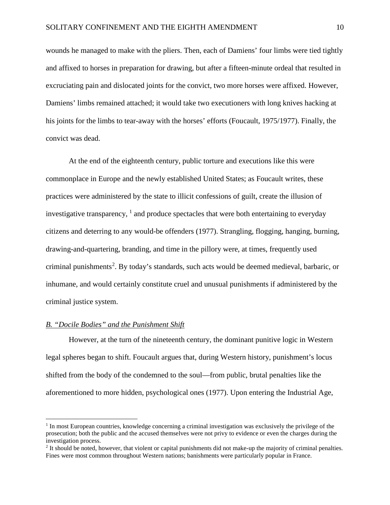wounds he managed to make with the pliers. Then, each of Damiens' four limbs were tied tightly and affixed to horses in preparation for drawing, but after a fifteen-minute ordeal that resulted in excruciating pain and dislocated joints for the convict, two more horses were affixed. However, Damiens' limbs remained attached; it would take two executioners with long knives hacking at his joints for the limbs to tear-away with the horses' efforts (Foucault, 1975/1977). Finally, the convict was dead.

At the end of the eighteenth century, public torture and executions like this were commonplace in Europe and the newly established United States; as Foucault writes, these practices were administered by the state to illicit confessions of guilt, create the illusion of investigative transparency,  $\frac{1}{1}$  $\frac{1}{1}$  $\frac{1}{1}$  and produce spectacles that were both entertaining to everyday citizens and deterring to any would-be offenders (1977). Strangling, flogging, hanging, burning, drawing-and-quartering, branding, and time in the pillory were, at times, frequently used criminal punishments<sup>[2](#page-11-1)</sup>. By today's standards, such acts would be deemed medieval, barbaric, or inhumane, and would certainly constitute cruel and unusual punishments if administered by the criminal justice system.

#### *B. "Docile Bodies" and the Punishment Shift*

 $\overline{\phantom{a}}$ 

However, at the turn of the nineteenth century, the dominant punitive logic in Western legal spheres began to shift. Foucault argues that, during Western history, punishment's locus shifted from the body of the condemned to the soul—from public, brutal penalties like the aforementioned to more hidden, psychological ones (1977). Upon entering the Industrial Age,

<span id="page-11-0"></span><sup>1</sup> In most European countries, knowledge concerning a criminal investigation was exclusively the privilege of the prosecution; both the public and the accused themselves were not privy to evidence or even the charges during the investigation process.

<span id="page-11-1"></span><sup>&</sup>lt;sup>2</sup> It should be noted, however, that violent or capital punishments did not make-up the majority of criminal penalties. Fines were most common throughout Western nations; banishments were particularly popular in France.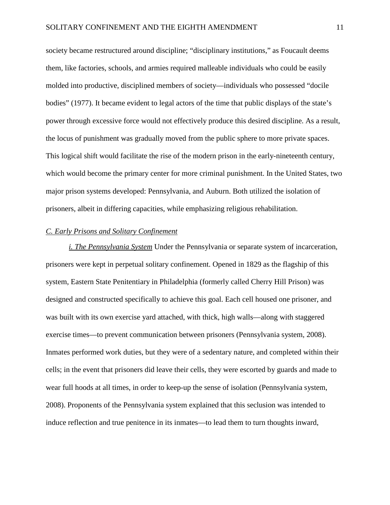society became restructured around discipline; "disciplinary institutions," as Foucault deems them, like factories, schools, and armies required malleable individuals who could be easily molded into productive, disciplined members of society—individuals who possessed "docile bodies" (1977). It became evident to legal actors of the time that public displays of the state's power through excessive force would not effectively produce this desired discipline. As a result, the locus of punishment was gradually moved from the public sphere to more private spaces. This logical shift would facilitate the rise of the modern prison in the early-nineteenth century, which would become the primary center for more criminal punishment. In the United States, two major prison systems developed: Pennsylvania, and Auburn. Both utilized the isolation of prisoners, albeit in differing capacities, while emphasizing religious rehabilitation.

#### *C. Early Prisons and Solitary Confinement*

*i. The Pennsylvania System* Under the Pennsylvania or separate system of incarceration, prisoners were kept in perpetual solitary confinement. Opened in 1829 as the flagship of this system, Eastern State Penitentiary in Philadelphia (formerly called Cherry Hill Prison) was designed and constructed specifically to achieve this goal. Each cell housed one prisoner, and was built with its own exercise yard attached, with thick, high walls—along with staggered exercise times—to prevent communication between prisoners (Pennsylvania system, 2008). Inmates performed work duties, but they were of a sedentary nature, and completed within their cells; in the event that prisoners did leave their cells, they were escorted by guards and made to wear full hoods at all times, in order to keep-up the sense of isolation (Pennsylvania system, 2008). Proponents of the Pennsylvania system explained that this seclusion was intended to induce reflection and true penitence in its inmates—to lead them to turn thoughts inward,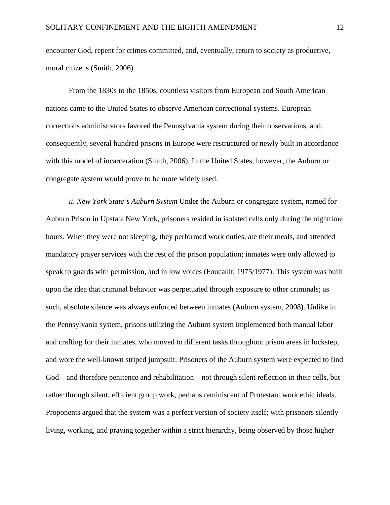encounter God, repent for crimes committed, and, eventually, return to society as productive, moral citizens (Smith, 2006).

From the 1830s to the 1850s, countless visitors from European and South American nations came to the United States to observe American correctional systems. European corrections administrators favored the Pennsylvania system during their observations, and, consequently, several hundred prisons in Europe were restructured or newly built in accordance with this model of incarceration (Smith, 2006). In the United States, however, the Auburn or congregate system would prove to be more widely used.

*ii. New York State's Auburn System* Under the Auburn or congregate system, named for Auburn Prison in Upstate New York, prisoners resided in isolated cells only during the nighttime hours. When they were not sleeping, they performed work duties, ate their meals, and attended mandatory prayer services with the rest of the prison population; inmates were only allowed to speak to guards with permission, and in low voices (Foucault, 1975/1977). This system was built upon the idea that criminal behavior was perpetuated through exposure to other criminals; as such, absolute silence was always enforced between inmates (Auburn system, 2008). Unlike in the Pennsylvania system, prisons utilizing the Auburn system implemented both manual labor and crafting for their inmates, who moved to different tasks throughout prison areas in lockstep, and wore the well-known striped jumpsuit. Prisoners of the Auburn system were expected to find God—and therefore penitence and rehabilitation—not through silent reflection in their cells, but rather through silent, efficient group work, perhaps reminiscent of Protestant work ethic ideals. Proponents argued that the system was a perfect version of society itself; with prisoners silently living, working, and praying together within a strict hierarchy, being observed by those higher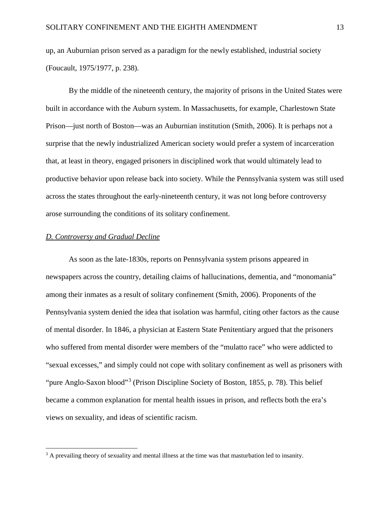up, an Auburnian prison served as a paradigm for the newly established, industrial society (Foucault, 1975/1977, p. 238).

By the middle of the nineteenth century, the majority of prisons in the United States were built in accordance with the Auburn system. In Massachusetts, for example, Charlestown State Prison—just north of Boston—was an Auburnian institution (Smith, 2006). It is perhaps not a surprise that the newly industrialized American society would prefer a system of incarceration that, at least in theory, engaged prisoners in disciplined work that would ultimately lead to productive behavior upon release back into society. While the Pennsylvania system was still used across the states throughout the early-nineteenth century, it was not long before controversy arose surrounding the conditions of its solitary confinement.

#### *D. Controversy and Gradual Decline*

l

As soon as the late-1830s, reports on Pennsylvania system prisons appeared in newspapers across the country, detailing claims of hallucinations, dementia, and "monomania" among their inmates as a result of solitary confinement (Smith, 2006). Proponents of the Pennsylvania system denied the idea that isolation was harmful, citing other factors as the cause of mental disorder. In 1846, a physician at Eastern State Penitentiary argued that the prisoners who suffered from mental disorder were members of the "mulatto race" who were addicted to "sexual excesses," and simply could not cope with solitary confinement as well as prisoners with "pure Anglo-Saxon blood"[3](#page-14-0) (Prison Discipline Society of Boston, 1855, p. 78). This belief became a common explanation for mental health issues in prison, and reflects both the era's views on sexuality, and ideas of scientific racism.

<span id="page-14-0"></span><sup>&</sup>lt;sup>3</sup> A prevailing theory of sexuality and mental illness at the time was that masturbation led to insanity.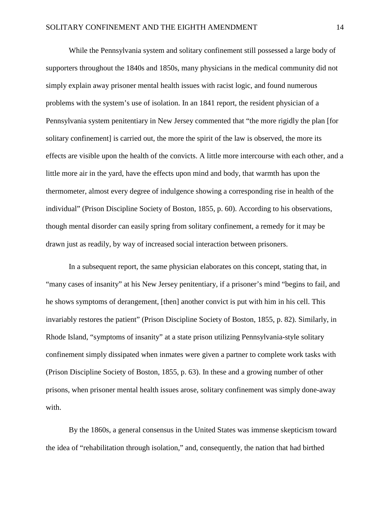While the Pennsylvania system and solitary confinement still possessed a large body of supporters throughout the 1840s and 1850s, many physicians in the medical community did not simply explain away prisoner mental health issues with racist logic, and found numerous problems with the system's use of isolation. In an 1841 report, the resident physician of a Pennsylvania system penitentiary in New Jersey commented that "the more rigidly the plan [for solitary confinement) is carried out, the more the spirit of the law is observed, the more its effects are visible upon the health of the convicts. A little more intercourse with each other, and a little more air in the yard, have the effects upon mind and body, that warmth has upon the thermometer, almost every degree of indulgence showing a corresponding rise in health of the individual" (Prison Discipline Society of Boston, 1855, p. 60). According to his observations, though mental disorder can easily spring from solitary confinement, a remedy for it may be drawn just as readily, by way of increased social interaction between prisoners.

In a subsequent report, the same physician elaborates on this concept, stating that, in "many cases of insanity" at his New Jersey penitentiary, if a prisoner's mind "begins to fail, and he shows symptoms of derangement, [then] another convict is put with him in his cell. This invariably restores the patient" (Prison Discipline Society of Boston, 1855, p. 82). Similarly, in Rhode Island, "symptoms of insanity" at a state prison utilizing Pennsylvania-style solitary confinement simply dissipated when inmates were given a partner to complete work tasks with (Prison Discipline Society of Boston, 1855, p. 63). In these and a growing number of other prisons, when prisoner mental health issues arose, solitary confinement was simply done-away with.

By the 1860s, a general consensus in the United States was immense skepticism toward the idea of "rehabilitation through isolation," and, consequently, the nation that had birthed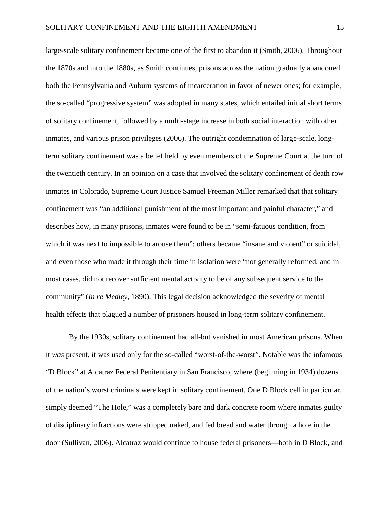large-scale solitary confinement became one of the first to abandon it (Smith, 2006). Throughout the 1870s and into the 1880s, as Smith continues, prisons across the nation gradually abandoned both the Pennsylvania and Auburn systems of incarceration in favor of newer ones; for example, the so-called "progressive system" was adopted in many states, which entailed initial short terms of solitary confinement, followed by a multi-stage increase in both social interaction with other inmates, and various prison privileges (2006). The outright condemnation of large-scale, longterm solitary confinement was a belief held by even members of the Supreme Court at the turn of the twentieth century. In an opinion on a case that involved the solitary confinement of death row inmates in Colorado, Supreme Court Justice Samuel Freeman Miller remarked that that solitary confinement was "an additional punishment of the most important and painful character," and describes how, in many prisons, inmates were found to be in "semi-fatuous condition, from which it was next to impossible to arouse them"; others became "insane and violent" or suicidal, and even those who made it through their time in isolation were "not generally reformed, and in most cases, did not recover sufficient mental activity to be of any subsequent service to the community" (*In re Medley*, 1890). This legal decision acknowledged the severity of mental health effects that plagued a number of prisoners housed in long-term solitary confinement.

By the 1930s, solitary confinement had all-but vanished in most American prisons. When it *was* present, it was used only for the so-called "worst-of-the-worst". Notable was the infamous "D Block" at Alcatraz Federal Penitentiary in San Francisco, where (beginning in 1934) dozens of the nation's worst criminals were kept in solitary confinement. One D Block cell in particular, simply deemed "The Hole," was a completely bare and dark concrete room where inmates guilty of disciplinary infractions were stripped naked, and fed bread and water through a hole in the door (Sullivan, 2006). Alcatraz would continue to house federal prisoners—both in D Block, and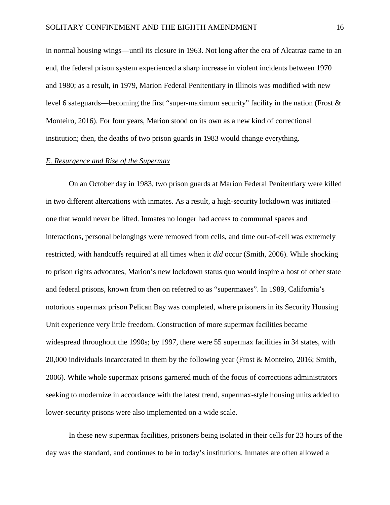in normal housing wings—until its closure in 1963. Not long after the era of Alcatraz came to an end, the federal prison system experienced a sharp increase in violent incidents between 1970 and 1980; as a result, in 1979, Marion Federal Penitentiary in Illinois was modified with new level 6 safeguards—becoming the first "super-maximum security" facility in the nation (Frost & Monteiro, 2016). For four years, Marion stood on its own as a new kind of correctional institution; then, the deaths of two prison guards in 1983 would change everything.

#### *E. Resurgence and Rise of the Supermax*

On an October day in 1983, two prison guards at Marion Federal Penitentiary were killed in two different altercations with inmates. As a result, a high-security lockdown was initiated one that would never be lifted. Inmates no longer had access to communal spaces and interactions, personal belongings were removed from cells, and time out-of-cell was extremely restricted, with handcuffs required at all times when it *did* occur (Smith, 2006). While shocking to prison rights advocates, Marion's new lockdown status quo would inspire a host of other state and federal prisons, known from then on referred to as "supermaxes". In 1989, California's notorious supermax prison Pelican Bay was completed, where prisoners in its Security Housing Unit experience very little freedom. Construction of more supermax facilities became widespread throughout the 1990s; by 1997, there were 55 supermax facilities in 34 states, with 20,000 individuals incarcerated in them by the following year (Frost & Monteiro, 2016; Smith, 2006). While whole supermax prisons garnered much of the focus of corrections administrators seeking to modernize in accordance with the latest trend, supermax-style housing units added to lower-security prisons were also implemented on a wide scale.

In these new supermax facilities, prisoners being isolated in their cells for 23 hours of the day was the standard, and continues to be in today's institutions. Inmates are often allowed a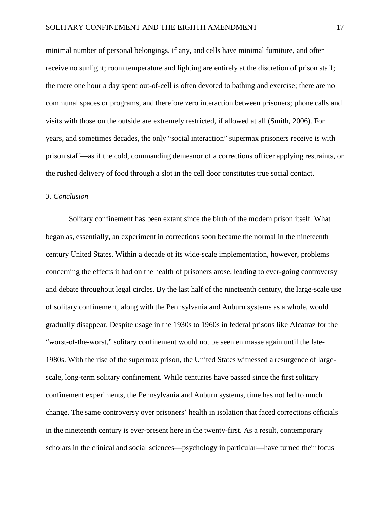minimal number of personal belongings, if any, and cells have minimal furniture, and often receive no sunlight; room temperature and lighting are entirely at the discretion of prison staff; the mere one hour a day spent out-of-cell is often devoted to bathing and exercise; there are no communal spaces or programs, and therefore zero interaction between prisoners; phone calls and visits with those on the outside are extremely restricted, if allowed at all (Smith, 2006). For years, and sometimes decades, the only "social interaction" supermax prisoners receive is with prison staff—as if the cold, commanding demeanor of a corrections officer applying restraints, or the rushed delivery of food through a slot in the cell door constitutes true social contact.

#### *3. Conclusion*

Solitary confinement has been extant since the birth of the modern prison itself. What began as, essentially, an experiment in corrections soon became the normal in the nineteenth century United States. Within a decade of its wide-scale implementation, however, problems concerning the effects it had on the health of prisoners arose, leading to ever-going controversy and debate throughout legal circles. By the last half of the nineteenth century, the large-scale use of solitary confinement, along with the Pennsylvania and Auburn systems as a whole, would gradually disappear. Despite usage in the 1930s to 1960s in federal prisons like Alcatraz for the "worst-of-the-worst," solitary confinement would not be seen en masse again until the late-1980s. With the rise of the supermax prison, the United States witnessed a resurgence of largescale, long-term solitary confinement. While centuries have passed since the first solitary confinement experiments, the Pennsylvania and Auburn systems, time has not led to much change. The same controversy over prisoners' health in isolation that faced corrections officials in the nineteenth century is ever-present here in the twenty-first. As a result, contemporary scholars in the clinical and social sciences—psychology in particular—have turned their focus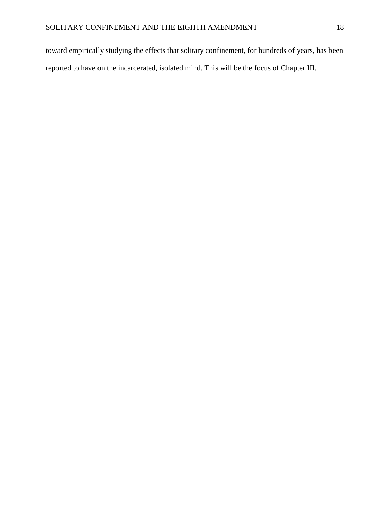toward empirically studying the effects that solitary confinement, for hundreds of years, has been reported to have on the incarcerated, isolated mind. This will be the focus of Chapter III.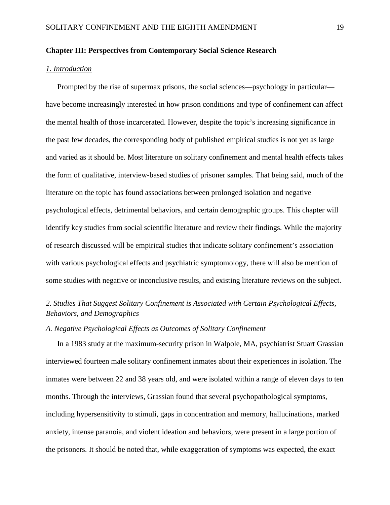#### **Chapter III: Perspectives from Contemporary Social Science Research**

#### *1. Introduction*

Prompted by the rise of supermax prisons, the social sciences—psychology in particular have become increasingly interested in how prison conditions and type of confinement can affect the mental health of those incarcerated. However, despite the topic's increasing significance in the past few decades, the corresponding body of published empirical studies is not yet as large and varied as it should be. Most literature on solitary confinement and mental health effects takes the form of qualitative, interview-based studies of prisoner samples. That being said, much of the literature on the topic has found associations between prolonged isolation and negative psychological effects, detrimental behaviors, and certain demographic groups. This chapter will identify key studies from social scientific literature and review their findings. While the majority of research discussed will be empirical studies that indicate solitary confinement's association with various psychological effects and psychiatric symptomology, there will also be mention of some studies with negative or inconclusive results, and existing literature reviews on the subject.

## *2. Studies That Suggest Solitary Confinement is Associated with Certain Psychological Effects, Behaviors, and Demographics*

#### *A. Negative Psychological Effects as Outcomes of Solitary Confinement*

In a 1983 study at the maximum-security prison in Walpole, MA, psychiatrist Stuart Grassian interviewed fourteen male solitary confinement inmates about their experiences in isolation. The inmates were between 22 and 38 years old, and were isolated within a range of eleven days to ten months. Through the interviews, Grassian found that several psychopathological symptoms, including hypersensitivity to stimuli, gaps in concentration and memory, hallucinations, marked anxiety, intense paranoia, and violent ideation and behaviors, were present in a large portion of the prisoners. It should be noted that, while exaggeration of symptoms was expected, the exact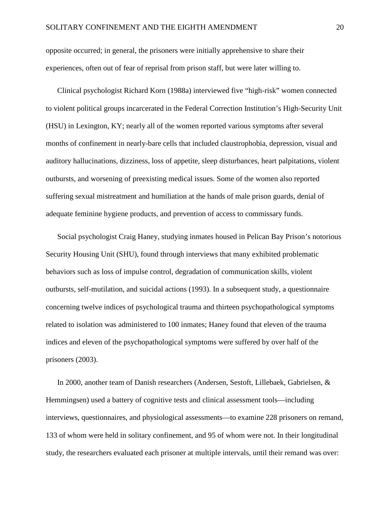opposite occurred; in general, the prisoners were initially apprehensive to share their experiences, often out of fear of reprisal from prison staff, but were later willing to.

Clinical psychologist Richard Korn (1988a) interviewed five "high-risk" women connected to violent political groups incarcerated in the Federal Correction Institution's High-Security Unit (HSU) in Lexington, KY; nearly all of the women reported various symptoms after several months of confinement in nearly-bare cells that included claustrophobia, depression, visual and auditory hallucinations, dizziness, loss of appetite, sleep disturbances, heart palpitations, violent outbursts, and worsening of preexisting medical issues. Some of the women also reported suffering sexual mistreatment and humiliation at the hands of male prison guards, denial of adequate feminine hygiene products, and prevention of access to commissary funds.

Social psychologist Craig Haney, studying inmates housed in Pelican Bay Prison's notorious Security Housing Unit (SHU), found through interviews that many exhibited problematic behaviors such as loss of impulse control, degradation of communication skills, violent outbursts, self-mutilation, and suicidal actions (1993). In a subsequent study, a questionnaire concerning twelve indices of psychological trauma and thirteen psychopathological symptoms related to isolation was administered to 100 inmates; Haney found that eleven of the trauma indices and eleven of the psychopathological symptoms were suffered by over half of the prisoners (2003).

In 2000, another team of Danish researchers (Andersen, Sestoft, Lillebaek, Gabrielsen, & Hemmingsen) used a battery of cognitive tests and clinical assessment tools—including interviews, questionnaires, and physiological assessments—to examine 228 prisoners on remand, 133 of whom were held in solitary confinement, and 95 of whom were not. In their longitudinal study, the researchers evaluated each prisoner at multiple intervals, until their remand was over: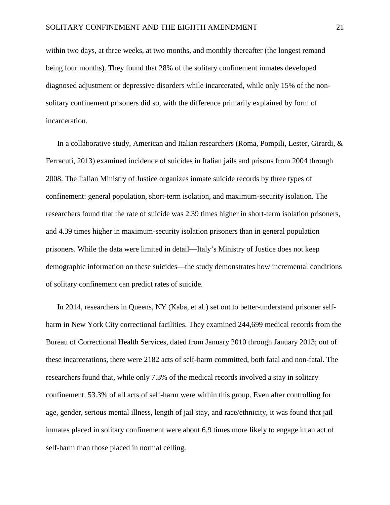within two days, at three weeks, at two months, and monthly thereafter (the longest remand being four months). They found that 28% of the solitary confinement inmates developed diagnosed adjustment or depressive disorders while incarcerated, while only 15% of the nonsolitary confinement prisoners did so, with the difference primarily explained by form of incarceration.

In a collaborative study, American and Italian researchers (Roma, Pompili, Lester, Girardi, & Ferracuti, 2013) examined incidence of suicides in Italian jails and prisons from 2004 through 2008. The Italian Ministry of Justice organizes inmate suicide records by three types of confinement: general population, short-term isolation, and maximum-security isolation. The researchers found that the rate of suicide was 2.39 times higher in short-term isolation prisoners, and 4.39 times higher in maximum-security isolation prisoners than in general population prisoners. While the data were limited in detail—Italy's Ministry of Justice does not keep demographic information on these suicides—the study demonstrates how incremental conditions of solitary confinement can predict rates of suicide.

In 2014, researchers in Queens, NY (Kaba, et al.) set out to better-understand prisoner selfharm in New York City correctional facilities. They examined 244,699 medical records from the Bureau of Correctional Health Services, dated from January 2010 through January 2013; out of these incarcerations, there were 2182 acts of self-harm committed, both fatal and non-fatal. The researchers found that, while only 7.3% of the medical records involved a stay in solitary confinement, 53.3% of all acts of self-harm were within this group. Even after controlling for age, gender, serious mental illness, length of jail stay, and race/ethnicity, it was found that jail inmates placed in solitary confinement were about 6.9 times more likely to engage in an act of self-harm than those placed in normal celling.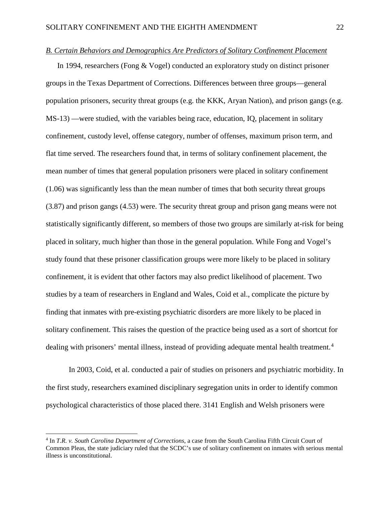#### *B. Certain Behaviors and Demographics Are Predictors of Solitary Confinement Placement*

In 1994, researchers (Fong & Vogel) conducted an exploratory study on distinct prisoner groups in the Texas Department of Corrections. Differences between three groups—general population prisoners, security threat groups (e.g. the KKK, Aryan Nation), and prison gangs (e.g. MS-13) —were studied, with the variables being race, education, IQ, placement in solitary confinement, custody level, offense category, number of offenses, maximum prison term, and flat time served. The researchers found that, in terms of solitary confinement placement, the mean number of times that general population prisoners were placed in solitary confinement (1.06) was significantly less than the mean number of times that both security threat groups (3.87) and prison gangs (4.53) were. The security threat group and prison gang means were not statistically significantly different, so members of those two groups are similarly at-risk for being placed in solitary, much higher than those in the general population. While Fong and Vogel's study found that these prisoner classification groups were more likely to be placed in solitary confinement, it is evident that other factors may also predict likelihood of placement. Two studies by a team of researchers in England and Wales, Coid et al., complicate the picture by finding that inmates with pre-existing psychiatric disorders are more likely to be placed in solitary confinement. This raises the question of the practice being used as a sort of shortcut for dealing with prisoners' mental illness, instead of providing adequate mental health treatment.<sup>[4](#page-23-0)</sup>

In 2003, Coid, et al. conducted a pair of studies on prisoners and psychiatric morbidity. In the first study, researchers examined disciplinary segregation units in order to identify common psychological characteristics of those placed there. 3141 English and Welsh prisoners were

l

<span id="page-23-0"></span><sup>4</sup> In *T.R. v. South Carolina Department of Corrections*, a case from the South Carolina Fifth Circuit Court of Common Pleas, the state judiciary ruled that the SCDC's use of solitary confinement on inmates with serious mental illness is unconstitutional.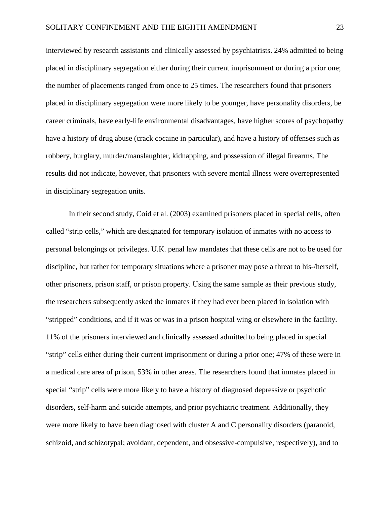interviewed by research assistants and clinically assessed by psychiatrists. 24% admitted to being placed in disciplinary segregation either during their current imprisonment or during a prior one; the number of placements ranged from once to 25 times. The researchers found that prisoners placed in disciplinary segregation were more likely to be younger, have personality disorders, be career criminals, have early-life environmental disadvantages, have higher scores of psychopathy have a history of drug abuse (crack cocaine in particular), and have a history of offenses such as robbery, burglary, murder/manslaughter, kidnapping, and possession of illegal firearms. The results did not indicate, however, that prisoners with severe mental illness were overrepresented in disciplinary segregation units.

In their second study, Coid et al. (2003) examined prisoners placed in special cells, often called "strip cells," which are designated for temporary isolation of inmates with no access to personal belongings or privileges. U.K. penal law mandates that these cells are not to be used for discipline, but rather for temporary situations where a prisoner may pose a threat to his-/herself, other prisoners, prison staff, or prison property. Using the same sample as their previous study, the researchers subsequently asked the inmates if they had ever been placed in isolation with "stripped" conditions, and if it was or was in a prison hospital wing or elsewhere in the facility. 11% of the prisoners interviewed and clinically assessed admitted to being placed in special "strip" cells either during their current imprisonment or during a prior one; 47% of these were in a medical care area of prison, 53% in other areas. The researchers found that inmates placed in special "strip" cells were more likely to have a history of diagnosed depressive or psychotic disorders, self-harm and suicide attempts, and prior psychiatric treatment. Additionally, they were more likely to have been diagnosed with cluster A and C personality disorders (paranoid, schizoid, and schizotypal; avoidant, dependent, and obsessive-compulsive, respectively), and to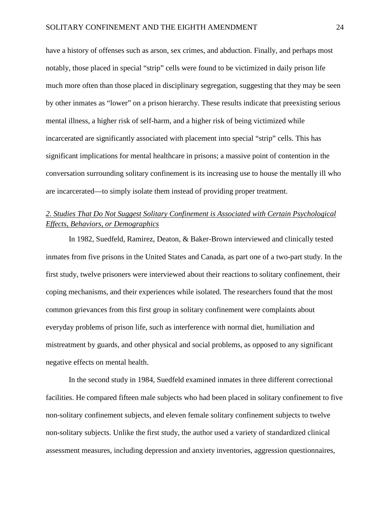have a history of offenses such as arson, sex crimes, and abduction. Finally, and perhaps most notably, those placed in special "strip" cells were found to be victimized in daily prison life much more often than those placed in disciplinary segregation, suggesting that they may be seen by other inmates as "lower" on a prison hierarchy. These results indicate that preexisting serious mental illness, a higher risk of self-harm, and a higher risk of being victimized while incarcerated are significantly associated with placement into special "strip" cells. This has significant implications for mental healthcare in prisons; a massive point of contention in the conversation surrounding solitary confinement is its increasing use to house the mentally ill who are incarcerated—to simply isolate them instead of providing proper treatment.

## *2. Studies That Do Not Suggest Solitary Confinement is Associated with Certain Psychological Effects, Behaviors, or Demographics*

In 1982, Suedfeld, Ramirez, Deaton, & Baker-Brown interviewed and clinically tested inmates from five prisons in the United States and Canada, as part one of a two-part study. In the first study, twelve prisoners were interviewed about their reactions to solitary confinement, their coping mechanisms, and their experiences while isolated. The researchers found that the most common grievances from this first group in solitary confinement were complaints about everyday problems of prison life, such as interference with normal diet, humiliation and mistreatment by guards, and other physical and social problems, as opposed to any significant negative effects on mental health.

In the second study in 1984, Suedfeld examined inmates in three different correctional facilities. He compared fifteen male subjects who had been placed in solitary confinement to five non-solitary confinement subjects, and eleven female solitary confinement subjects to twelve non-solitary subjects. Unlike the first study, the author used a variety of standardized clinical assessment measures, including depression and anxiety inventories, aggression questionnaires,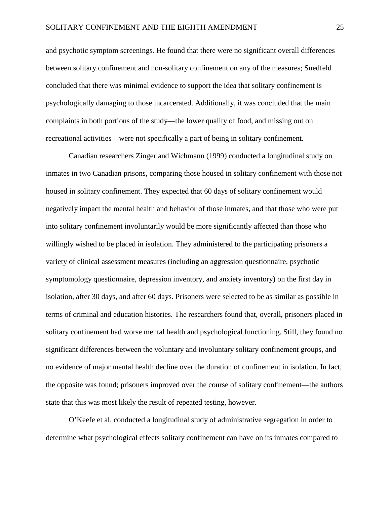and psychotic symptom screenings. He found that there were no significant overall differences between solitary confinement and non-solitary confinement on any of the measures; Suedfeld concluded that there was minimal evidence to support the idea that solitary confinement is psychologically damaging to those incarcerated. Additionally, it was concluded that the main complaints in both portions of the study—the lower quality of food, and missing out on recreational activities—were not specifically a part of being in solitary confinement.

Canadian researchers Zinger and Wichmann (1999) conducted a longitudinal study on inmates in two Canadian prisons, comparing those housed in solitary confinement with those not housed in solitary confinement. They expected that 60 days of solitary confinement would negatively impact the mental health and behavior of those inmates, and that those who were put into solitary confinement involuntarily would be more significantly affected than those who willingly wished to be placed in isolation. They administered to the participating prisoners a variety of clinical assessment measures (including an aggression questionnaire, psychotic symptomology questionnaire, depression inventory, and anxiety inventory) on the first day in isolation, after 30 days, and after 60 days. Prisoners were selected to be as similar as possible in terms of criminal and education histories. The researchers found that, overall, prisoners placed in solitary confinement had worse mental health and psychological functioning. Still, they found no significant differences between the voluntary and involuntary solitary confinement groups, and no evidence of major mental health decline over the duration of confinement in isolation. In fact, the opposite was found; prisoners improved over the course of solitary confinement—the authors state that this was most likely the result of repeated testing, however.

O'Keefe et al. conducted a longitudinal study of administrative segregation in order to determine what psychological effects solitary confinement can have on its inmates compared to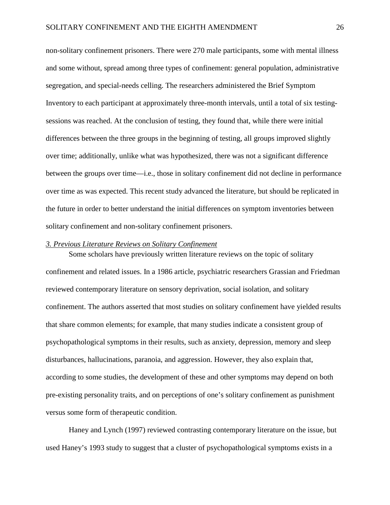non-solitary confinement prisoners. There were 270 male participants, some with mental illness and some without, spread among three types of confinement: general population, administrative segregation, and special-needs celling. The researchers administered the Brief Symptom Inventory to each participant at approximately three-month intervals, until a total of six testingsessions was reached. At the conclusion of testing, they found that, while there were initial differences between the three groups in the beginning of testing, all groups improved slightly over time; additionally, unlike what was hypothesized, there was not a significant difference between the groups over time—i.e., those in solitary confinement did not decline in performance over time as was expected. This recent study advanced the literature, but should be replicated in the future in order to better understand the initial differences on symptom inventories between solitary confinement and non-solitary confinement prisoners.

#### *3. Previous Literature Reviews on Solitary Confinement*

Some scholars have previously written literature reviews on the topic of solitary confinement and related issues. In a 1986 article, psychiatric researchers Grassian and Friedman reviewed contemporary literature on sensory deprivation, social isolation, and solitary confinement. The authors asserted that most studies on solitary confinement have yielded results that share common elements; for example, that many studies indicate a consistent group of psychopathological symptoms in their results, such as anxiety, depression, memory and sleep disturbances, hallucinations, paranoia, and aggression. However, they also explain that, according to some studies, the development of these and other symptoms may depend on both pre-existing personality traits, and on perceptions of one's solitary confinement as punishment versus some form of therapeutic condition.

Haney and Lynch (1997) reviewed contrasting contemporary literature on the issue, but used Haney's 1993 study to suggest that a cluster of psychopathological symptoms exists in a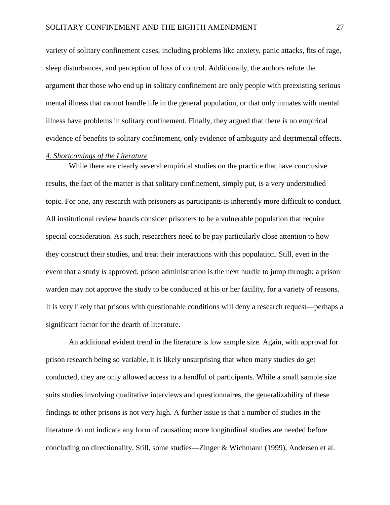variety of solitary confinement cases, including problems like anxiety, panic attacks, fits of rage, sleep disturbances, and perception of loss of control. Additionally, the authors refute the argument that those who end up in solitary confinement are only people with preexisting serious mental illness that cannot handle life in the general population, or that only inmates with mental illness have problems in solitary confinement. Finally, they argued that there is no empirical evidence of benefits to solitary confinement, only evidence of ambiguity and detrimental effects.

#### *4. Shortcomings of the Literature*

While there are clearly several empirical studies on the practice that have conclusive results, the fact of the matter is that solitary confinement, simply put, is a very understudied topic. For one, any research with prisoners as participants is inherently more difficult to conduct. All institutional review boards consider prisoners to be a vulnerable population that require special consideration. As such, researchers need to be pay particularly close attention to how they construct their studies, and treat their interactions with this population. Still, even in the event that a study *is* approved, prison administration is the next hurdle to jump through; a prison warden may not approve the study to be conducted at his or her facility, for a variety of reasons. It is very likely that prisons with questionable conditions will deny a research request—perhaps a significant factor for the dearth of literature.

An additional evident trend in the literature is low sample size. Again, with approval for prison research being so variable, it is likely unsurprising that when many studies *do* get conducted, they are only allowed access to a handful of participants. While a small sample size suits studies involving qualitative interviews and questionnaires, the generalizability of these findings to other prisons is not very high. A further issue is that a number of studies in the literature do not indicate any form of causation; more longitudinal studies are needed before concluding on directionality. Still, some studies—Zinger & Wichmann (1999), Andersen et al.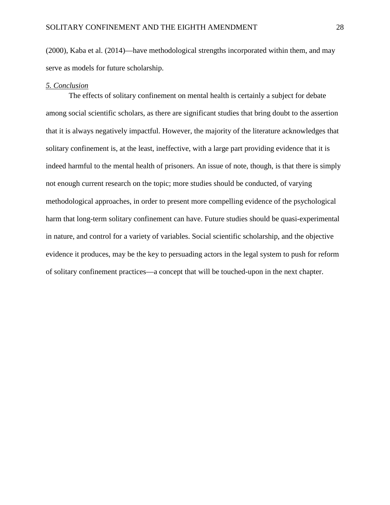(2000), Kaba et al. (2014)—have methodological strengths incorporated within them, and may serve as models for future scholarship.

#### *5. Conclusion*

The effects of solitary confinement on mental health is certainly a subject for debate among social scientific scholars, as there are significant studies that bring doubt to the assertion that it is always negatively impactful. However, the majority of the literature acknowledges that solitary confinement is, at the least, ineffective, with a large part providing evidence that it is indeed harmful to the mental health of prisoners. An issue of note, though, is that there is simply not enough current research on the topic; more studies should be conducted, of varying methodological approaches, in order to present more compelling evidence of the psychological harm that long-term solitary confinement can have. Future studies should be quasi-experimental in nature, and control for a variety of variables. Social scientific scholarship, and the objective evidence it produces, may be the key to persuading actors in the legal system to push for reform of solitary confinement practices—a concept that will be touched-upon in the next chapter.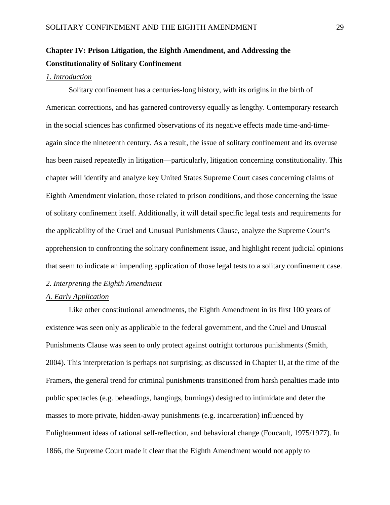## **Chapter IV: Prison Litigation, the Eighth Amendment, and Addressing the Constitutionality of Solitary Confinement**

#### *1. Introduction*

Solitary confinement has a centuries-long history, with its origins in the birth of American corrections, and has garnered controversy equally as lengthy. Contemporary research in the social sciences has confirmed observations of its negative effects made time-and-timeagain since the nineteenth century. As a result, the issue of solitary confinement and its overuse has been raised repeatedly in litigation—particularly, litigation concerning constitutionality. This chapter will identify and analyze key United States Supreme Court cases concerning claims of Eighth Amendment violation, those related to prison conditions, and those concerning the issue of solitary confinement itself. Additionally, it will detail specific legal tests and requirements for the applicability of the Cruel and Unusual Punishments Clause, analyze the Supreme Court's apprehension to confronting the solitary confinement issue, and highlight recent judicial opinions that seem to indicate an impending application of those legal tests to a solitary confinement case.

#### *2. Interpreting the Eighth Amendment*

#### *A. Early Application*

Like other constitutional amendments, the Eighth Amendment in its first 100 years of existence was seen only as applicable to the federal government, and the Cruel and Unusual Punishments Clause was seen to only protect against outright torturous punishments (Smith, 2004). This interpretation is perhaps not surprising; as discussed in Chapter II, at the time of the Framers, the general trend for criminal punishments transitioned from harsh penalties made into public spectacles (e.g. beheadings, hangings, burnings) designed to intimidate and deter the masses to more private, hidden-away punishments (e.g. incarceration) influenced by Enlightenment ideas of rational self-reflection, and behavioral change (Foucault, 1975/1977). In 1866, the Supreme Court made it clear that the Eighth Amendment would not apply to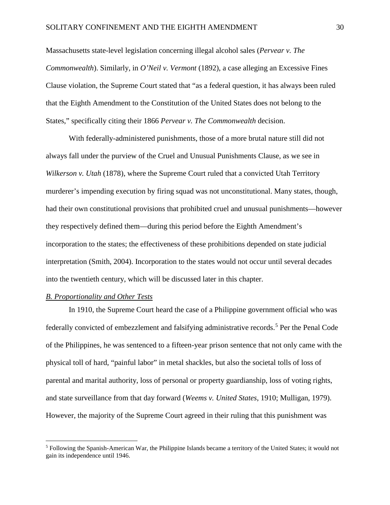Massachusetts state-level legislation concerning illegal alcohol sales (*Pervear v. The Commonwealth*). Similarly, in *O'Neil v. Vermont* (1892), a case alleging an Excessive Fines Clause violation, the Supreme Court stated that "as a federal question, it has always been ruled that the Eighth Amendment to the Constitution of the United States does not belong to the States," specifically citing their 1866 *Pervear v. The Commonwealth* decision.

With federally-administered punishments, those of a more brutal nature still did not always fall under the purview of the Cruel and Unusual Punishments Clause, as we see in *Wilkerson v. Utah* (1878), where the Supreme Court ruled that a convicted Utah Territory murderer's impending execution by firing squad was not unconstitutional. Many states, though, had their own constitutional provisions that prohibited cruel and unusual punishments—however they respectively defined them—during this period before the Eighth Amendment's incorporation to the states; the effectiveness of these prohibitions depended on state judicial interpretation (Smith, 2004). Incorporation to the states would not occur until several decades into the twentieth century, which will be discussed later in this chapter.

#### *B. Proportionality and Other Tests*

l

 In 1910, the Supreme Court heard the case of a Philippine government official who was federally convicted of embezzlement and falsifying administrative records.<sup>[5](#page-31-0)</sup> Per the Penal Code of the Philippines, he was sentenced to a fifteen-year prison sentence that not only came with the physical toll of hard, "painful labor" in metal shackles, but also the societal tolls of loss of parental and marital authority, loss of personal or property guardianship, loss of voting rights, and state surveillance from that day forward (*Weems v. United States*, 1910; Mulligan, 1979). However, the majority of the Supreme Court agreed in their ruling that this punishment was

<span id="page-31-0"></span><sup>5</sup> Following the Spanish-American War, the Philippine Islands became a territory of the United States; it would not gain its independence until 1946.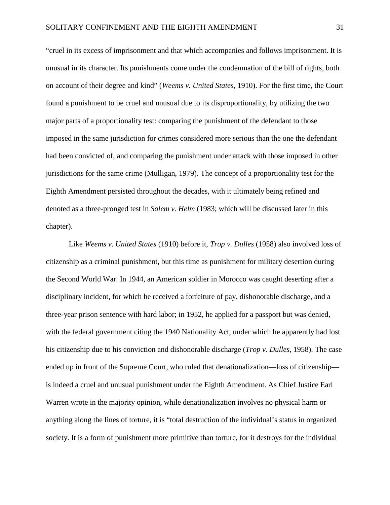"cruel in its excess of imprisonment and that which accompanies and follows imprisonment. It is unusual in its character. Its punishments come under the condemnation of the bill of rights, both on account of their degree and kind" (*Weems v. United States*, 1910). For the first time, the Court found a punishment to be cruel and unusual due to its disproportionality, by utilizing the two major parts of a proportionality test: comparing the punishment of the defendant to those imposed in the same jurisdiction for crimes considered more serious than the one the defendant had been convicted of, and comparing the punishment under attack with those imposed in other jurisdictions for the same crime (Mulligan, 1979). The concept of a proportionality test for the Eighth Amendment persisted throughout the decades, with it ultimately being refined and denoted as a three-pronged test in *Solem v. Helm* (1983; which will be discussed later in this chapter).

Like *Weems v. United States* (1910) before it, *Trop v. Dulles* (1958) also involved loss of citizenship as a criminal punishment, but this time as punishment for military desertion during the Second World War. In 1944, an American soldier in Morocco was caught deserting after a disciplinary incident, for which he received a forfeiture of pay, dishonorable discharge, and a three-year prison sentence with hard labor; in 1952, he applied for a passport but was denied, with the federal government citing the 1940 Nationality Act, under which he apparently had lost his citizenship due to his conviction and dishonorable discharge (*Trop v. Dulles*, 1958). The case ended up in front of the Supreme Court, who ruled that denationalization—loss of citizenship is indeed a cruel and unusual punishment under the Eighth Amendment. As Chief Justice Earl Warren wrote in the majority opinion, while denationalization involves no physical harm or anything along the lines of torture, it is "total destruction of the individual's status in organized society. It is a form of punishment more primitive than torture, for it destroys for the individual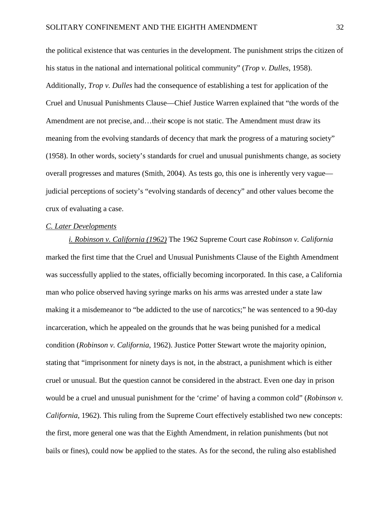the political existence that was centuries in the development. The punishment strips the citizen of his status in the national and international political community" (*Trop v. Dulles*, 1958). Additionally, *Trop v. Dulles* had the consequence of establishing a test for application of the Cruel and Unusual Punishments Clause—Chief Justice Warren explained that "the words of the Amendment are not precise, and…their **s**cope is not static. The Amendment must draw its meaning from the evolving standards of decency that mark the progress of a maturing society" (1958). In other words, society's standards for cruel and unusual punishments change, as society overall progresses and matures (Smith, 2004). As tests go, this one is inherently very vague judicial perceptions of society's "evolving standards of decency" and other values become the crux of evaluating a case.

#### *C. Later Developments*

*i. Robinson v. California (1962)* The 1962 Supreme Court case *Robinson v. California* marked the first time that the Cruel and Unusual Punishments Clause of the Eighth Amendment was successfully applied to the states, officially becoming incorporated. In this case, a California man who police observed having syringe marks on his arms was arrested under a state law making it a misdemeanor to "be addicted to the use of narcotics;" he was sentenced to a 90-day incarceration, which he appealed on the grounds that he was being punished for a medical condition (*Robinson v. California*, 1962). Justice Potter Stewart wrote the majority opinion, stating that "imprisonment for ninety days is not, in the abstract, a punishment which is either cruel or unusual. But the question cannot be considered in the abstract. Even one day in prison would be a cruel and unusual punishment for the 'crime' of having a common cold" (*Robinson v. California*, 1962). This ruling from the Supreme Court effectively established two new concepts: the first, more general one was that the Eighth Amendment, in relation punishments (but not bails or fines), could now be applied to the states. As for the second, the ruling also established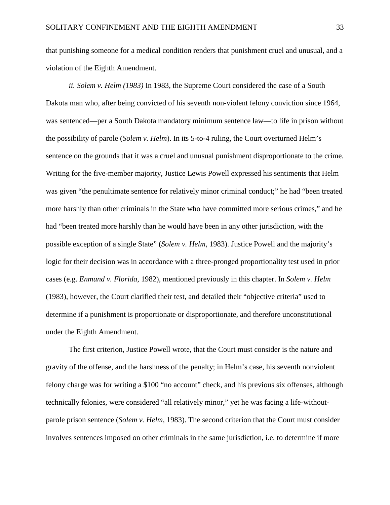that punishing someone for a medical condition renders that punishment cruel and unusual, and a violation of the Eighth Amendment.

*ii. Solem v. Helm (1983)* In 1983, the Supreme Court considered the case of a South Dakota man who, after being convicted of his seventh non-violent felony conviction since 1964, was sentenced—per a South Dakota mandatory minimum sentence law—to life in prison without the possibility of parole (*Solem v. Helm*). In its 5-to-4 ruling, the Court overturned Helm's sentence on the grounds that it was a cruel and unusual punishment disproportionate to the crime. Writing for the five-member majority, Justice Lewis Powell expressed his sentiments that Helm was given "the penultimate sentence for relatively minor criminal conduct;" he had "been treated more harshly than other criminals in the State who have committed more serious crimes," and he had "been treated more harshly than he would have been in any other jurisdiction, with the possible exception of a single State" (*Solem v. Helm*, 1983). Justice Powell and the majority's logic for their decision was in accordance with a three-pronged proportionality test used in prior cases (e.g. *Enmund v. Florida*, 1982), mentioned previously in this chapter. In *Solem v. Helm* (1983), however, the Court clarified their test, and detailed their "objective criteria" used to determine if a punishment is proportionate or disproportionate, and therefore unconstitutional under the Eighth Amendment.

 The first criterion, Justice Powell wrote, that the Court must consider is the nature and gravity of the offense, and the harshness of the penalty; in Helm's case, his seventh nonviolent felony charge was for writing a \$100 "no account" check, and his previous six offenses, although technically felonies, were considered "all relatively minor," yet he was facing a life-withoutparole prison sentence (*Solem v. Helm*, 1983). The second criterion that the Court must consider involves sentences imposed on other criminals in the same jurisdiction, i.e. to determine if more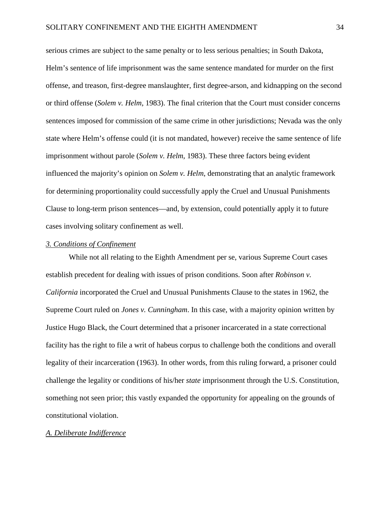serious crimes are subject to the same penalty or to less serious penalties; in South Dakota, Helm's sentence of life imprisonment was the same sentence mandated for murder on the first offense, and treason, first-degree manslaughter, first degree-arson, and kidnapping on the second or third offense (*Solem v. Helm*, 1983). The final criterion that the Court must consider concerns sentences imposed for commission of the same crime in other jurisdictions; Nevada was the only state where Helm's offense could (it is not mandated, however) receive the same sentence of life imprisonment without parole (*Solem v. Helm*, 1983). These three factors being evident influenced the majority's opinion on *Solem v. Helm*, demonstrating that an analytic framework for determining proportionality could successfully apply the Cruel and Unusual Punishments Clause to long-term prison sentences—and, by extension, could potentially apply it to future cases involving solitary confinement as well.

#### *3. Conditions of Confinement*

While not all relating to the Eighth Amendment per se, various Supreme Court cases establish precedent for dealing with issues of prison conditions. Soon after *Robinson v. California* incorporated the Cruel and Unusual Punishments Clause to the states in 1962, the Supreme Court ruled on *Jones v. Cunningham*. In this case, with a majority opinion written by Justice Hugo Black, the Court determined that a prisoner incarcerated in a state correctional facility has the right to file a writ of habeus corpus to challenge both the conditions and overall legality of their incarceration (1963). In other words, from this ruling forward, a prisoner could challenge the legality or conditions of his/her *state* imprisonment through the U.S. Constitution, something not seen prior; this vastly expanded the opportunity for appealing on the grounds of constitutional violation.

#### *A. Deliberate Indifference*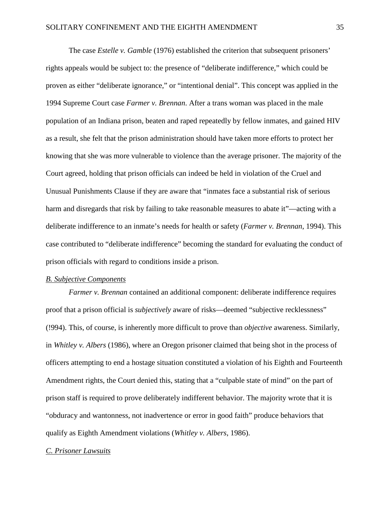The case *Estelle v. Gamble* (1976) established the criterion that subsequent prisoners' rights appeals would be subject to: the presence of "deliberate indifference," which could be proven as either "deliberate ignorance," or "intentional denial". This concept was applied in the 1994 Supreme Court case *Farmer v. Brennan*. After a trans woman was placed in the male population of an Indiana prison, beaten and raped repeatedly by fellow inmates, and gained HIV as a result, she felt that the prison administration should have taken more efforts to protect her knowing that she was more vulnerable to violence than the average prisoner. The majority of the Court agreed, holding that prison officials can indeed be held in violation of the Cruel and Unusual Punishments Clause if they are aware that "inmates face a substantial risk of serious harm and disregards that risk by failing to take reasonable measures to abate it"—acting with a deliberate indifference to an inmate's needs for health or safety (*Farmer v. Brennan*, 1994). This case contributed to "deliberate indifference" becoming the standard for evaluating the conduct of prison officials with regard to conditions inside a prison.

#### *B. Subjective Components*

*Farmer v. Brennan* contained an additional component: deliberate indifference requires proof that a prison official is *subjectively* aware of risks—deemed "subjective recklessness" (!994). This, of course, is inherently more difficult to prove than *objective* awareness. Similarly, in *Whitley v. Albers* (1986), where an Oregon prisoner claimed that being shot in the process of officers attempting to end a hostage situation constituted a violation of his Eighth and Fourteenth Amendment rights, the Court denied this, stating that a "culpable state of mind" on the part of prison staff is required to prove deliberately indifferent behavior. The majority wrote that it is "obduracy and wantonness, not inadvertence or error in good faith" produce behaviors that qualify as Eighth Amendment violations (*Whitley v. Albers*, 1986).

#### *C. Prisoner Lawsuits*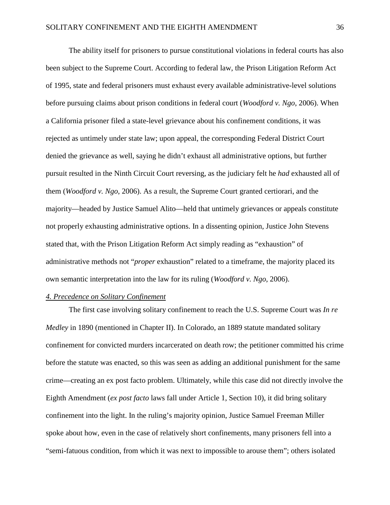The ability itself for prisoners to pursue constitutional violations in federal courts has also been subject to the Supreme Court. According to federal law, the Prison Litigation Reform Act of 1995, state and federal prisoners must exhaust every available administrative-level solutions before pursuing claims about prison conditions in federal court (*Woodford v. Ngo*, 2006). When a California prisoner filed a state-level grievance about his confinement conditions, it was rejected as untimely under state law; upon appeal, the corresponding Federal District Court denied the grievance as well, saying he didn't exhaust all administrative options, but further pursuit resulted in the Ninth Circuit Court reversing, as the judiciary felt he *had* exhausted all of them (*Woodford v. Ngo*, 2006). As a result, the Supreme Court granted certiorari, and the majority—headed by Justice Samuel Alito—held that untimely grievances or appeals constitute not properly exhausting administrative options. In a dissenting opinion, Justice John Stevens stated that, with the Prison Litigation Reform Act simply reading as "exhaustion" of administrative methods not "*proper* exhaustion" related to a timeframe, the majority placed its own semantic interpretation into the law for its ruling (*Woodford v. Ngo*, 2006).

#### *4. Precedence on Solitary Confinement*

 The first case involving solitary confinement to reach the U.S. Supreme Court was *In re Medley* in 1890 (mentioned in Chapter II). In Colorado, an 1889 statute mandated solitary confinement for convicted murders incarcerated on death row; the petitioner committed his crime before the statute was enacted, so this was seen as adding an additional punishment for the same crime—creating an ex post facto problem. Ultimately, while this case did not directly involve the Eighth Amendment (*ex post facto* laws fall under Article 1, Section 10), it did bring solitary confinement into the light. In the ruling's majority opinion, Justice Samuel Freeman Miller spoke about how, even in the case of relatively short confinements, many prisoners fell into a "semi-fatuous condition, from which it was next to impossible to arouse them"; others isolated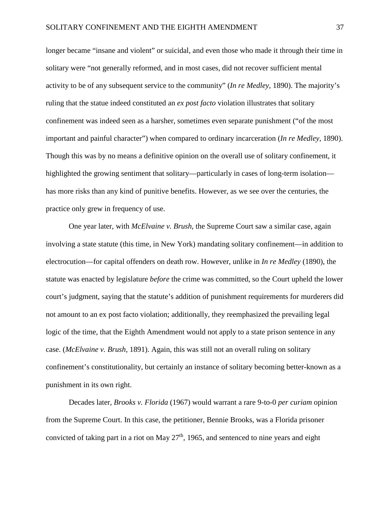longer became "insane and violent" or suicidal, and even those who made it through their time in solitary were "not generally reformed, and in most cases, did not recover sufficient mental activity to be of any subsequent service to the community" (*In re Medley*, 1890). The majority's ruling that the statue indeed constituted an *ex post facto* violation illustrates that solitary confinement was indeed seen as a harsher, sometimes even separate punishment ("of the most important and painful character") when compared to ordinary incarceration (*In re Medley*, 1890). Though this was by no means a definitive opinion on the overall use of solitary confinement, it highlighted the growing sentiment that solitary—particularly in cases of long-term isolation has more risks than any kind of punitive benefits. However, as we see over the centuries, the practice only grew in frequency of use.

One year later, with *McElvaine v. Brush*, the Supreme Court saw a similar case, again involving a state statute (this time, in New York) mandating solitary confinement—in addition to electrocution—for capital offenders on death row. However, unlike in *In re Medley* (1890), the statute was enacted by legislature *before* the crime was committed, so the Court upheld the lower court's judgment, saying that the statute's addition of punishment requirements for murderers did not amount to an ex post facto violation; additionally, they reemphasized the prevailing legal logic of the time, that the Eighth Amendment would not apply to a state prison sentence in any case. (*McElvaine v. Brush*, 1891). Again, this was still not an overall ruling on solitary confinement's constitutionality, but certainly an instance of solitary becoming better-known as a punishment in its own right.

Decades later, *Brooks v. Florida* (1967) would warrant a rare 9-to-0 *per curiam* opinion from the Supreme Court. In this case, the petitioner, Bennie Brooks, was a Florida prisoner convicted of taking part in a riot on May  $27<sup>th</sup>$ , 1965, and sentenced to nine years and eight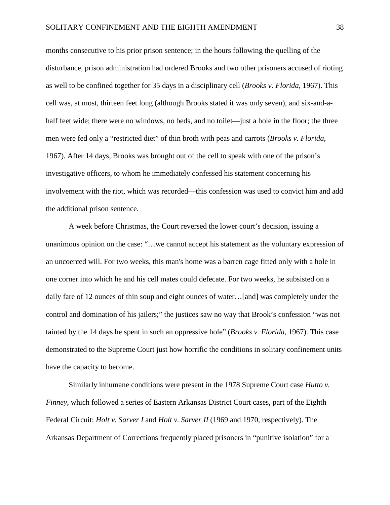months consecutive to his prior prison sentence; in the hours following the quelling of the disturbance, prison administration had ordered Brooks and two other prisoners accused of rioting as well to be confined together for 35 days in a disciplinary cell (*Brooks v. Florida*, 1967). This cell was, at most, thirteen feet long (although Brooks stated it was only seven), and six-and-ahalf feet wide; there were no windows, no beds, and no toilet—just a hole in the floor; the three men were fed only a "restricted diet" of thin broth with peas and carrots (*Brooks v. Florida*, 1967). After 14 days, Brooks was brought out of the cell to speak with one of the prison's investigative officers, to whom he immediately confessed his statement concerning his involvement with the riot, which was recorded—this confession was used to convict him and add the additional prison sentence.

A week before Christmas, the Court reversed the lower court's decision, issuing a unanimous opinion on the case: "…we cannot accept his statement as the voluntary expression of an uncoerced will. For two weeks, this man's home was a barren cage fitted only with a hole in one corner into which he and his cell mates could defecate. For two weeks, he subsisted on a daily fare of 12 ounces of thin soup and eight ounces of water…[and] was completely under the control and domination of his jailers;" the justices saw no way that Brook's confession "was not tainted by the 14 days he spent in such an oppressive hole" (*Brooks v. Florida*, 1967). This case demonstrated to the Supreme Court just how horrific the conditions in solitary confinement units have the capacity to become.

Similarly inhumane conditions were present in the 1978 Supreme Court case *Hutto v. Finney*, which followed a series of Eastern Arkansas District Court cases, part of the Eighth Federal Circuit: *Holt v. Sarver I* and *Holt v. Sarver II* (1969 and 1970, respectively). The Arkansas Department of Corrections frequently placed prisoners in "punitive isolation" for a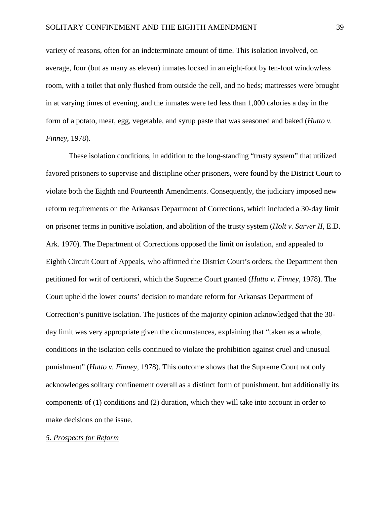variety of reasons, often for an indeterminate amount of time. This isolation involved, on average, four (but as many as eleven) inmates locked in an eight-foot by ten-foot windowless room, with a toilet that only flushed from outside the cell, and no beds; mattresses were brought in at varying times of evening, and the inmates were fed less than 1,000 calories a day in the form of a potato, meat, egg, vegetable, and syrup paste that was seasoned and baked (*Hutto v. Finney*, 1978).

These isolation conditions, in addition to the long-standing "trusty system" that utilized favored prisoners to supervise and discipline other prisoners, were found by the District Court to violate both the Eighth and Fourteenth Amendments. Consequently, the judiciary imposed new reform requirements on the Arkansas Department of Corrections, which included a 30-day limit on prisoner terms in punitive isolation, and abolition of the trusty system (*Holt v. Sarver II*, E.D. Ark. 1970). The Department of Corrections opposed the limit on isolation, and appealed to Eighth Circuit Court of Appeals, who affirmed the District Court's orders; the Department then petitioned for writ of certiorari, which the Supreme Court granted (*Hutto v. Finney*, 1978). The Court upheld the lower courts' decision to mandate reform for Arkansas Department of Correction's punitive isolation. The justices of the majority opinion acknowledged that the 30 day limit was very appropriate given the circumstances, explaining that "taken as a whole, conditions in the isolation cells continued to violate the prohibition against cruel and unusual punishment" (*Hutto v. Finney*, 1978). This outcome shows that the Supreme Court not only acknowledges solitary confinement overall as a distinct form of punishment, but additionally its components of (1) conditions and (2) duration, which they will take into account in order to make decisions on the issue.

#### *5. Prospects for Reform*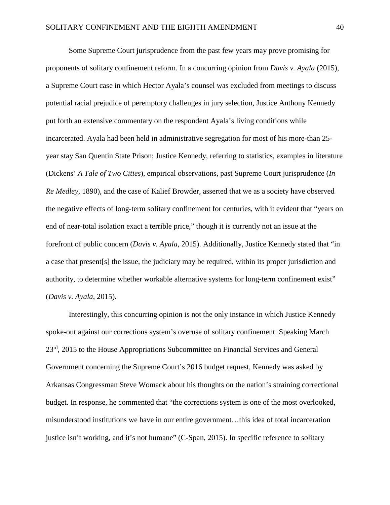Some Supreme Court jurisprudence from the past few years may prove promising for proponents of solitary confinement reform. In a concurring opinion from *Davis v. Ayala* (2015), a Supreme Court case in which Hector Ayala's counsel was excluded from meetings to discuss potential racial prejudice of peremptory challenges in jury selection, Justice Anthony Kennedy put forth an extensive commentary on the respondent Ayala's living conditions while incarcerated. Ayala had been held in administrative segregation for most of his more-than 25 year stay San Quentin State Prison; Justice Kennedy, referring to statistics, examples in literature (Dickens' *A Tale of Two Cities*), empirical observations, past Supreme Court jurisprudence (*In Re Medley*, 1890), and the case of Kalief Browder, asserted that we as a society have observed the negative effects of long-term solitary confinement for centuries, with it evident that "years on end of near-total isolation exact a terrible price," though it is currently not an issue at the forefront of public concern (*Davis v. Ayala*, 2015). Additionally, Justice Kennedy stated that "in a case that present[s] the issue, the judiciary may be required, within its proper jurisdiction and authority, to determine whether workable alternative systems for long-term confinement exist" (*Davis v. Ayala*, 2015).

Interestingly, this concurring opinion is not the only instance in which Justice Kennedy spoke-out against our corrections system's overuse of solitary confinement. Speaking March 23rd, 2015 to the House Appropriations Subcommittee on Financial Services and General Government concerning the Supreme Court's 2016 budget request, Kennedy was asked by Arkansas Congressman Steve Womack about his thoughts on the nation's straining correctional budget. In response, he commented that "the corrections system is one of the most overlooked, misunderstood institutions we have in our entire government…this idea of total incarceration justice isn't working, and it's not humane" (C-Span, 2015). In specific reference to solitary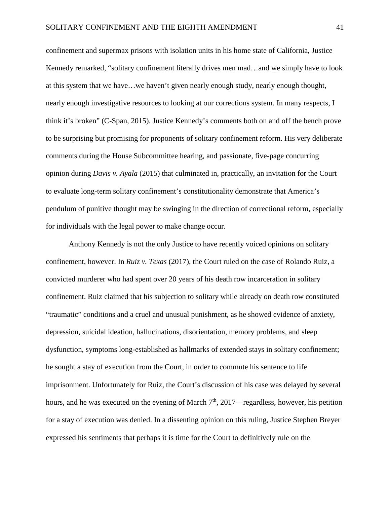confinement and supermax prisons with isolation units in his home state of California, Justice Kennedy remarked, "solitary confinement literally drives men mad…and we simply have to look at this system that we have…we haven't given nearly enough study, nearly enough thought, nearly enough investigative resources to looking at our corrections system. In many respects, I think it's broken" (C-Span, 2015). Justice Kennedy's comments both on and off the bench prove to be surprising but promising for proponents of solitary confinement reform. His very deliberate comments during the House Subcommittee hearing, and passionate, five-page concurring opinion during *Davis v. Ayala* (2015) that culminated in, practically, an invitation for the Court to evaluate long-term solitary confinement's constitutionality demonstrate that America's pendulum of punitive thought may be swinging in the direction of correctional reform, especially for individuals with the legal power to make change occur.

Anthony Kennedy is not the only Justice to have recently voiced opinions on solitary confinement, however. In *Ruiz v. Texas* (2017), the Court ruled on the case of Rolando Ruiz, a convicted murderer who had spent over 20 years of his death row incarceration in solitary confinement. Ruiz claimed that his subjection to solitary while already on death row constituted "traumatic" conditions and a cruel and unusual punishment, as he showed evidence of anxiety, depression, suicidal ideation, hallucinations, disorientation, memory problems, and sleep dysfunction, symptoms long-established as hallmarks of extended stays in solitary confinement; he sought a stay of execution from the Court, in order to commute his sentence to life imprisonment. Unfortunately for Ruiz, the Court's discussion of his case was delayed by several hours, and he was executed on the evening of March  $7<sup>th</sup>$ , 2017—regardless, however, his petition for a stay of execution was denied. In a dissenting opinion on this ruling, Justice Stephen Breyer expressed his sentiments that perhaps it is time for the Court to definitively rule on the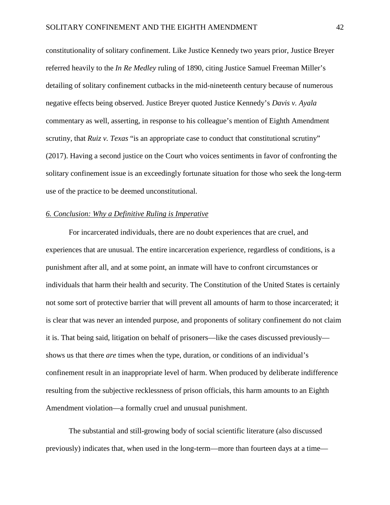constitutionality of solitary confinement. Like Justice Kennedy two years prior, Justice Breyer referred heavily to the *In Re Medley* ruling of 1890, citing Justice Samuel Freeman Miller's detailing of solitary confinement cutbacks in the mid-nineteenth century because of numerous negative effects being observed. Justice Breyer quoted Justice Kennedy's *Davis v. Ayala* commentary as well, asserting, in response to his colleague's mention of Eighth Amendment scrutiny, that *Ruiz v. Texas* "is an appropriate case to conduct that constitutional scrutiny" (2017). Having a second justice on the Court who voices sentiments in favor of confronting the solitary confinement issue is an exceedingly fortunate situation for those who seek the long-term use of the practice to be deemed unconstitutional.

#### *6. Conclusion: Why a Definitive Ruling is Imperative*

For incarcerated individuals, there are no doubt experiences that are cruel, and experiences that are unusual. The entire incarceration experience, regardless of conditions, is a punishment after all, and at some point, an inmate will have to confront circumstances or individuals that harm their health and security. The Constitution of the United States is certainly not some sort of protective barrier that will prevent all amounts of harm to those incarcerated; it is clear that was never an intended purpose, and proponents of solitary confinement do not claim it is. That being said, litigation on behalf of prisoners—like the cases discussed previously shows us that there *are* times when the type, duration, or conditions of an individual's confinement result in an inappropriate level of harm. When produced by deliberate indifference resulting from the subjective recklessness of prison officials, this harm amounts to an Eighth Amendment violation—a formally cruel and unusual punishment.

The substantial and still-growing body of social scientific literature (also discussed previously) indicates that, when used in the long-term—more than fourteen days at a time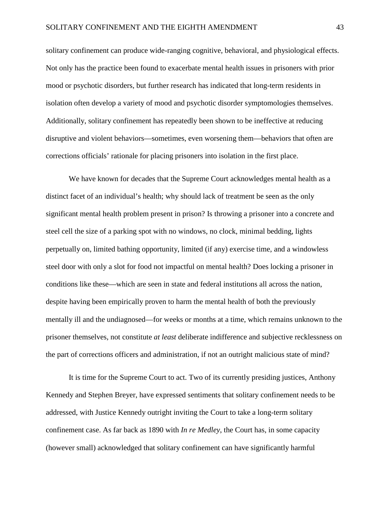solitary confinement can produce wide-ranging cognitive, behavioral, and physiological effects. Not only has the practice been found to exacerbate mental health issues in prisoners with prior mood or psychotic disorders, but further research has indicated that long-term residents in isolation often develop a variety of mood and psychotic disorder symptomologies themselves. Additionally, solitary confinement has repeatedly been shown to be ineffective at reducing disruptive and violent behaviors—sometimes, even worsening them—behaviors that often are corrections officials' rationale for placing prisoners into isolation in the first place.

We have known for decades that the Supreme Court acknowledges mental health as a distinct facet of an individual's health; why should lack of treatment be seen as the only significant mental health problem present in prison? Is throwing a prisoner into a concrete and steel cell the size of a parking spot with no windows, no clock, minimal bedding, lights perpetually on, limited bathing opportunity, limited (if any) exercise time, and a windowless steel door with only a slot for food not impactful on mental health? Does locking a prisoner in conditions like these—which are seen in state and federal institutions all across the nation, despite having been empirically proven to harm the mental health of both the previously mentally ill and the undiagnosed—for weeks or months at a time, which remains unknown to the prisoner themselves, not constitute *at least* deliberate indifference and subjective recklessness on the part of corrections officers and administration, if not an outright malicious state of mind?

It is time for the Supreme Court to act. Two of its currently presiding justices, Anthony Kennedy and Stephen Breyer, have expressed sentiments that solitary confinement needs to be addressed, with Justice Kennedy outright inviting the Court to take a long-term solitary confinement case. As far back as 1890 with *In re Medley*, the Court has, in some capacity (however small) acknowledged that solitary confinement can have significantly harmful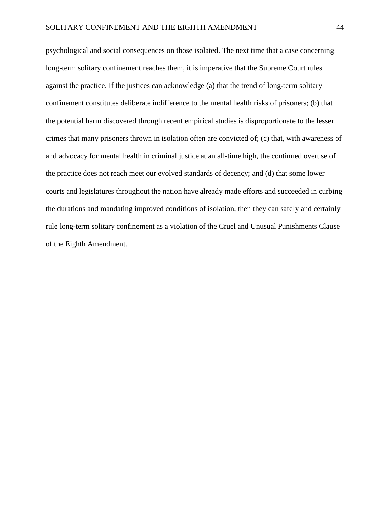psychological and social consequences on those isolated. The next time that a case concerning long-term solitary confinement reaches them, it is imperative that the Supreme Court rules against the practice. If the justices can acknowledge (a) that the trend of long-term solitary confinement constitutes deliberate indifference to the mental health risks of prisoners; (b) that the potential harm discovered through recent empirical studies is disproportionate to the lesser crimes that many prisoners thrown in isolation often are convicted of; (c) that, with awareness of and advocacy for mental health in criminal justice at an all-time high, the continued overuse of the practice does not reach meet our evolved standards of decency; and (d) that some lower courts and legislatures throughout the nation have already made efforts and succeeded in curbing the durations and mandating improved conditions of isolation, then they can safely and certainly rule long-term solitary confinement as a violation of the Cruel and Unusual Punishments Clause of the Eighth Amendment.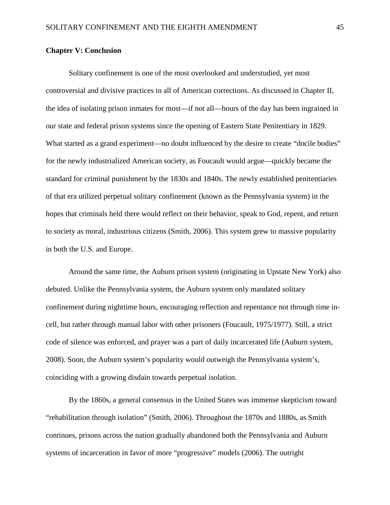#### **Chapter V: Conclusion**

Solitary confinement is one of the most overlooked and understudied, yet most controversial and divisive practices in all of American corrections. As discussed in Chapter II, the idea of isolating prison inmates for most—if not all—hours of the day has been ingrained in our state and federal prison systems since the opening of Eastern State Penitentiary in 1829. What started as a grand experiment—no doubt influenced by the desire to create "docile bodies" for the newly industrialized American society, as Foucault would argue—quickly became the standard for criminal punishment by the 1830s and 1840s. The newly established penitentiaries of that era utilized perpetual solitary confinement (known as the Pennsylvania system) in the hopes that criminals held there would reflect on their behavior, speak to God, repent, and return to society as moral, industrious citizens (Smith, 2006). This system grew to massive popularity in both the U.S. and Europe.

Around the same time, the Auburn prison system (originating in Upstate New York) also debuted. Unlike the Pennsylvania system, the Auburn system only mandated solitary confinement during nighttime hours, encouraging reflection and repentance not through time incell, but rather through manual labor with other prisoners (Foucault, 1975/1977). Still, a strict code of silence was enforced, and prayer was a part of daily incarcerated life (Auburn system, 2008). Soon, the Auburn system's popularity would outweigh the Pennsylvania system's, coinciding with a growing disdain towards perpetual isolation.

By the 1860s, a general consensus in the United States was immense skepticism toward "rehabilitation through isolation" (Smith, 2006). Throughout the 1870s and 1880s, as Smith continues, prisons across the nation gradually abandoned both the Pennsylvania and Auburn systems of incarceration in favor of more "progressive" models (2006). The outright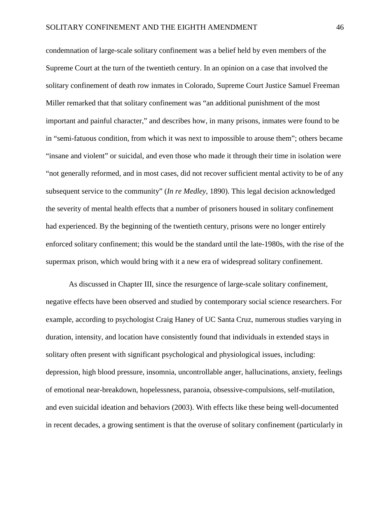condemnation of large-scale solitary confinement was a belief held by even members of the Supreme Court at the turn of the twentieth century. In an opinion on a case that involved the solitary confinement of death row inmates in Colorado, Supreme Court Justice Samuel Freeman Miller remarked that that solitary confinement was "an additional punishment of the most important and painful character," and describes how, in many prisons, inmates were found to be in "semi-fatuous condition, from which it was next to impossible to arouse them"; others became "insane and violent" or suicidal, and even those who made it through their time in isolation were "not generally reformed, and in most cases, did not recover sufficient mental activity to be of any subsequent service to the community" (*In re Medley*, 1890). This legal decision acknowledged the severity of mental health effects that a number of prisoners housed in solitary confinement had experienced. By the beginning of the twentieth century, prisons were no longer entirely enforced solitary confinement; this would be the standard until the late-1980s, with the rise of the supermax prison, which would bring with it a new era of widespread solitary confinement.

As discussed in Chapter III, since the resurgence of large-scale solitary confinement, negative effects have been observed and studied by contemporary social science researchers. For example, according to psychologist Craig Haney of UC Santa Cruz, numerous studies varying in duration, intensity, and location have consistently found that individuals in extended stays in solitary often present with significant psychological and physiological issues, including: depression, high blood pressure, insomnia, uncontrollable anger, hallucinations, anxiety, feelings of emotional near-breakdown, hopelessness, paranoia, obsessive-compulsions, self-mutilation, and even suicidal ideation and behaviors (2003). With effects like these being well-documented in recent decades, a growing sentiment is that the overuse of solitary confinement (particularly in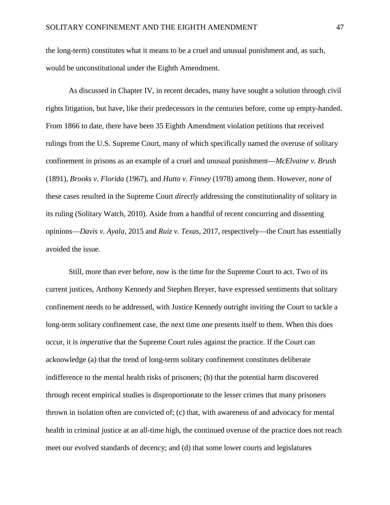the long-term) constitutes what it means to be a cruel and unusual punishment and, as such, would be unconstitutional under the Eighth Amendment.

As discussed in Chapter IV, in recent decades, many have sought a solution through civil rights litigation, but have, like their predecessors in the centuries before, come up empty-handed. From 1866 to date, there have been 35 Eighth Amendment violation petitions that received rulings from the U.S. Supreme Court, many of which specifically named the overuse of solitary confinement in prisons as an example of a cruel and unusual punishment—*McElvaine v. Brush* (1891), *Brooks v. Florida* (1967), and *Hutto v. Finney* (1978) among them. However, *none* of these cases resulted in the Supreme Court *directly* addressing the constitutionality of solitary in its ruling (Solitary Watch, 2010). Aside from a handful of recent concurring and dissenting opinions—*Davis v. Ayala*, 2015 and *Ruiz v. Texas*, 2017, respectively—the Court has essentially avoided the issue.

Still, more than ever before, now is the time for the Supreme Court to act. Two of its current justices, Anthony Kennedy and Stephen Breyer, have expressed sentiments that solitary confinement needs to be addressed, with Justice Kennedy outright inviting the Court to tackle a long-term solitary confinement case, the next time one presents itself to them. When this does occur, it is *imperative* that the Supreme Court rules against the practice. If the Court can acknowledge (a) that the trend of long-term solitary confinement constitutes deliberate indifference to the mental health risks of prisoners; (b) that the potential harm discovered through recent empirical studies is disproportionate to the lesser crimes that many prisoners thrown in isolation often are convicted of; (c) that, with awareness of and advocacy for mental health in criminal justice at an all-time high, the continued overuse of the practice does not reach meet our evolved standards of decency; and (d) that some lower courts and legislatures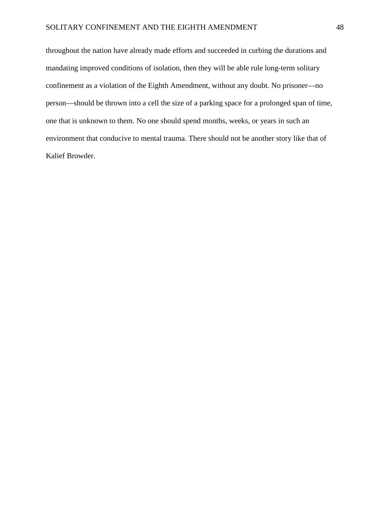#### SOLITARY CONFINEMENT AND THE EIGHTH AMENDMENT 48

throughout the nation have already made efforts and succeeded in curbing the durations and mandating improved conditions of isolation, then they will be able rule long-term solitary confinement as a violation of the Eighth Amendment, without any doubt. No prisoner—no person—should be thrown into a cell the size of a parking space for a prolonged span of time, one that is unknown to them. No one should spend months, weeks, or years in such an environment that conducive to mental trauma. There should not be another story like that of Kalief Browder.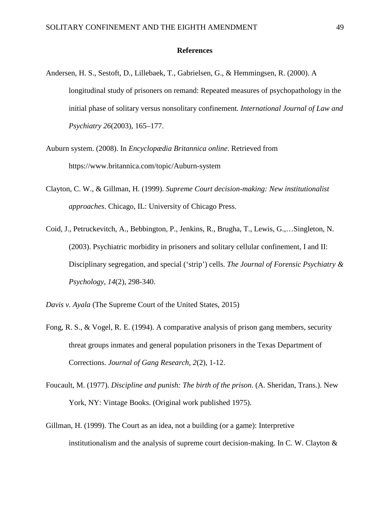#### **References**

- Andersen, H. S., Sestoft, D., Lillebaek, T., Gabrielsen, G., & Hemmingsen, R. (2000). A longitudinal study of prisoners on remand: Repeated measures of psychopathology in the initial phase of solitary versus nonsolitary confinement*. International Journal of Law and Psychiatry 26*(2003), 165–177.
- Auburn system. (2008). In *Encyclopædia Britannica online*. Retrieved from https://www.britannica.com/topic/Auburn-system
- Clayton, C. W., & Gillman, H. (1999). *Supreme Court decision-making: New institutionalist approaches*. Chicago, IL: University of Chicago Press.
- Coid, J., Petruckevitch, A., Bebbington, P., Jenkins, R., Brugha, T., Lewis, G.,…Singleton, N. (2003). Psychiatric morbidity in prisoners and solitary cellular confinement, I and II: Disciplinary segregation, and special ('strip') cells. *The Journal of Forensic Psychiatry & Psychology, 14*(2), 298-340.

*Davis v. Ayala* (The Supreme Court of the United States, 2015)

- Fong, R. S., & Vogel, R. E. (1994). A comparative analysis of prison gang members, security threat groups inmates and general population prisoners in the Texas Department of Corrections. *Journal of Gang Research, 2*(2), 1-12.
- Foucault, M. (1977). *Discipline and punish: The birth of the prison*. (A. Sheridan, Trans.). New York, NY: Vintage Books. (Original work published 1975).
- Gillman, H. (1999). The Court as an idea, not a building (or a game): Interpretive institutionalism and the analysis of supreme court decision-making. In C. W. Clayton  $\&$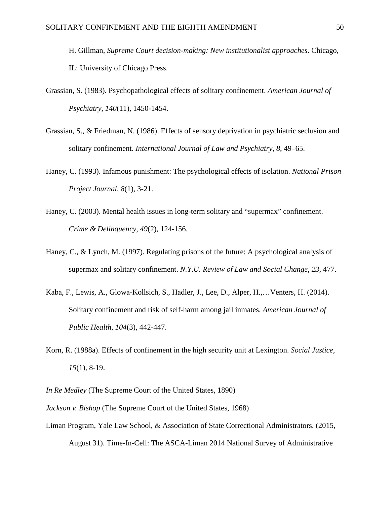H. Gillman, *Supreme Court decision-making: New institutionalist approaches*. Chicago, IL: University of Chicago Press.

- Grassian, S. (1983). Psychopathological effects of solitary confinement. *American Journal of Psychiatry, 140*(11), 1450-1454.
- Grassian, S., & Friedman, N. (1986). Effects of sensory deprivation in psychiatric seclusion and solitary confinement. *International Journal of Law and Psychiatry, 8*, 49–65.
- Haney, C. (1993). Infamous punishment: The psychological effects of isolation. *National Prison Project Journal, 8*(1), 3-21.
- Haney, C. (2003). Mental health issues in long-term solitary and "supermax" confinement. *Crime & Delinquency, 49*(2), 124-156.
- Haney, C., & Lynch, M. (1997). Regulating prisons of the future: A psychological analysis of supermax and solitary confinement. *N.Y.U. Review of Law and Social Change, 23*, 477.
- Kaba, F., Lewis, A., Glowa-Kollsich, S., Hadler, J., Lee, D., Alper, H.,…Venters, H. (2014). Solitary confinement and risk of self-harm among jail inmates. *American Journal of Public Health, 104*(3), 442-447.
- Korn, R. (1988a). Effects of confinement in the high security unit at Lexington. *Social Justice, 15*(1), 8-19.

*In Re Medley* (The Supreme Court of the United States, 1890)

*Jackson v. Bishop* (The Supreme Court of the United States, 1968)

Liman Program, Yale Law School, & Association of State Correctional Administrators. (2015, August 31). Time-In-Cell: The ASCA-Liman 2014 National Survey of Administrative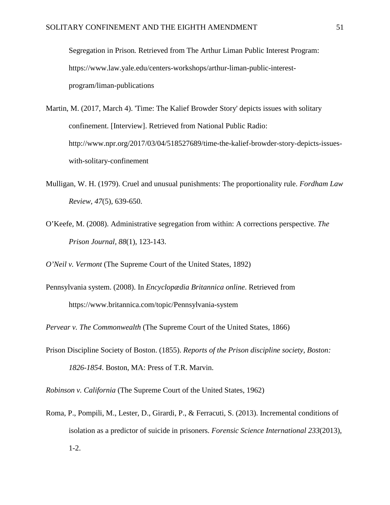Segregation in Prison*.* Retrieved from The Arthur Liman Public Interest Program: https://www.law.yale.edu/centers-workshops/arthur-liman-public-interestprogram/liman-publications

- Martin, M. (2017, March 4). 'Time: The Kalief Browder Story' depicts issues with solitary confinement. [Interview]. Retrieved from National Public Radio: http://www.npr.org/2017/03/04/518527689/time-the-kalief-browder-story-depicts-issueswith-solitary-confinement
- Mulligan, W. H. (1979). Cruel and unusual punishments: The proportionality rule. *Fordham Law Review, 47*(5), 639-650.
- O'Keefe, M. (2008). Administrative segregation from within: A corrections perspective. *The Prison Journal, 88*(1), 123-143.
- *O'Neil v. Vermont* (The Supreme Court of the United States, 1892)
- Pennsylvania system. (2008). In *Encyclopædia Britannica online*. Retrieved from https://www.britannica.com/topic/Pennsylvania-system

*Pervear v. The Commonwealth* (The Supreme Court of the United States, 1866)

Prison Discipline Society of Boston. (1855). *Reports of the Prison discipline society, Boston: 1826-1854*. Boston, MA: Press of T.R. Marvin.

*Robinson v. California* (The Supreme Court of the United States, 1962)

Roma, P., Pompili, M., Lester, D., Girardi, P., & Ferracuti, S. (2013). Incremental conditions of isolation as a predictor of suicide in prisoners. *Forensic Science International 233*(2013), 1-2.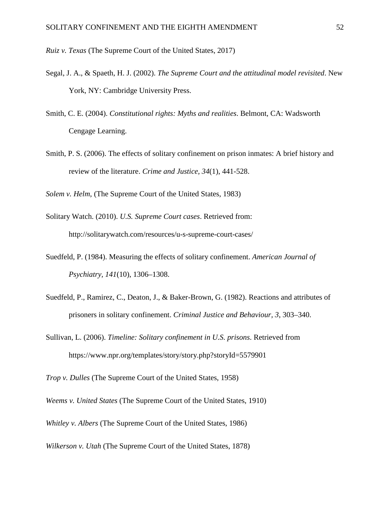*Ruiz v. Texas* (The Supreme Court of the United States, 2017)

- Segal, J. A., & Spaeth, H. J. (2002). *The Supreme Court and the attitudinal model revisited*. New York, NY: Cambridge University Press.
- Smith, C. E. (2004). *Constitutional rights: Myths and realities*. Belmont, CA: Wadsworth Cengage Learning.
- Smith, P. S. (2006). The effects of solitary confinement on prison inmates: A brief history and review of the literature. *Crime and Justice, 34*(1), 441-528.

*Solem v. Helm*, (The Supreme Court of the United States, 1983)

- Solitary Watch. (2010). *U.S. Supreme Court cases*. Retrieved from: http://solitarywatch.com/resources/u-s-supreme-court-cases/
- Suedfeld, P. (1984). Measuring the effects of solitary confinement. *American Journal of Psychiatry, 141*(10), 1306–1308.
- Suedfeld, P., Ramirez, C., Deaton, J., & Baker-Brown, G. (1982). Reactions and attributes of prisoners in solitary confinement. *Criminal Justice and Behaviour, 3*, 303–340.
- Sullivan, L. (2006). *Timeline: Solitary confinement in U.S. prisons*. Retrieved from https://www.npr.org/templates/story/story.php?storyId=5579901

*Trop v. Dulles* (The Supreme Court of the United States, 1958)

*Weems v. United States* (The Supreme Court of the United States, 1910)

*Whitley v. Albers* (The Supreme Court of the United States, 1986)

*Wilkerson v. Utah* (The Supreme Court of the United States, 1878)